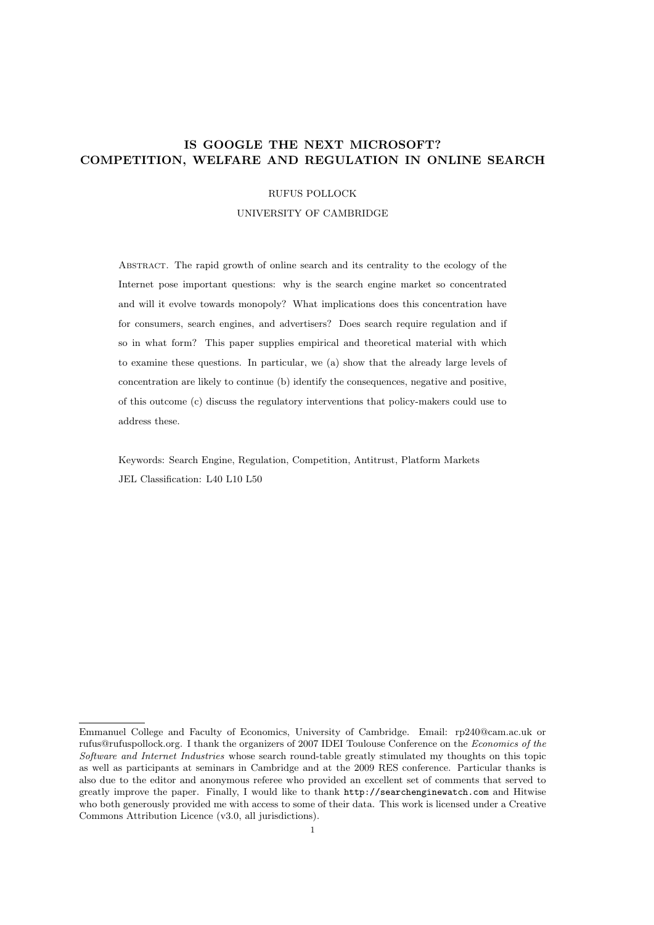# IS GOOGLE THE NEXT MICROSOFT? COMPETITION, WELFARE AND REGULATION IN ONLINE SEARCH

### RUFUS POLLOCK

### UNIVERSITY OF CAMBRIDGE

Abstract. The rapid growth of online search and its centrality to the ecology of the Internet pose important questions: why is the search engine market so concentrated and will it evolve towards monopoly? What implications does this concentration have for consumers, search engines, and advertisers? Does search require regulation and if so in what form? This paper supplies empirical and theoretical material with which to examine these questions. In particular, we (a) show that the already large levels of concentration are likely to continue (b) identify the consequences, negative and positive, of this outcome (c) discuss the regulatory interventions that policy-makers could use to address these.

Keywords: Search Engine, Regulation, Competition, Antitrust, Platform Markets JEL Classification: L40 L10 L50

Emmanuel College and Faculty of Economics, University of Cambridge. Email: rp240@cam.ac.uk or rufus@rufuspollock.org. I thank the organizers of 2007 IDEI Toulouse Conference on the Economics of the Software and Internet Industries whose search round-table greatly stimulated my thoughts on this topic as well as participants at seminars in Cambridge and at the 2009 RES conference. Particular thanks is also due to the editor and anonymous referee who provided an excellent set of comments that served to greatly improve the paper. Finally, I would like to thank http://searchenginewatch.com and Hitwise who both generously provided me with access to some of their data. This work is licensed under a Creative Commons Attribution Licence (v3.0, all jurisdictions).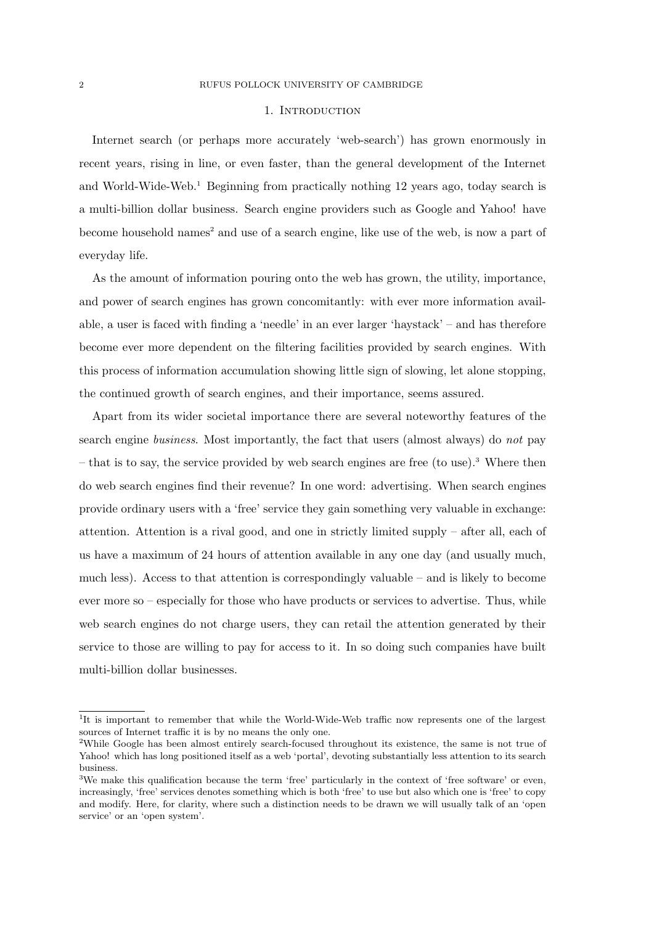#### 1. INTRODUCTION

Internet search (or perhaps more accurately 'web-search') has grown enormously in recent years, rising in line, or even faster, than the general development of the Internet and World-Wide-Web.<sup>1</sup> Beginning from practically nothing 12 years ago, today search is a multi-billion dollar business. Search engine providers such as Google and Yahoo! have become household names<sup>2</sup> and use of a search engine, like use of the web, is now a part of everyday life.

As the amount of information pouring onto the web has grown, the utility, importance, and power of search engines has grown concomitantly: with ever more information available, a user is faced with finding a 'needle' in an ever larger 'haystack' – and has therefore become ever more dependent on the filtering facilities provided by search engines. With this process of information accumulation showing little sign of slowing, let alone stopping, the continued growth of search engines, and their importance, seems assured.

Apart from its wider societal importance there are several noteworthy features of the search engine business. Most importantly, the fact that users (almost always) do not pay – that is to say, the service provided by web search engines are free (to use).<sup>3</sup> Where then do web search engines find their revenue? In one word: advertising. When search engines provide ordinary users with a 'free' service they gain something very valuable in exchange: attention. Attention is a rival good, and one in strictly limited supply – after all, each of us have a maximum of 24 hours of attention available in any one day (and usually much, much less). Access to that attention is correspondingly valuable – and is likely to become ever more so – especially for those who have products or services to advertise. Thus, while web search engines do not charge users, they can retail the attention generated by their service to those are willing to pay for access to it. In so doing such companies have built multi-billion dollar businesses.

<sup>&</sup>lt;sup>1</sup>It is important to remember that while the World-Wide-Web traffic now represents one of the largest sources of Internet traffic it is by no means the only one.

<sup>2</sup>While Google has been almost entirely search-focused throughout its existence, the same is not true of Yahoo! which has long positioned itself as a web 'portal', devoting substantially less attention to its search business.

<sup>3</sup>We make this qualification because the term 'free' particularly in the context of 'free software' or even, increasingly, 'free' services denotes something which is both 'free' to use but also which one is 'free' to copy and modify. Here, for clarity, where such a distinction needs to be drawn we will usually talk of an 'open service' or an 'open system'.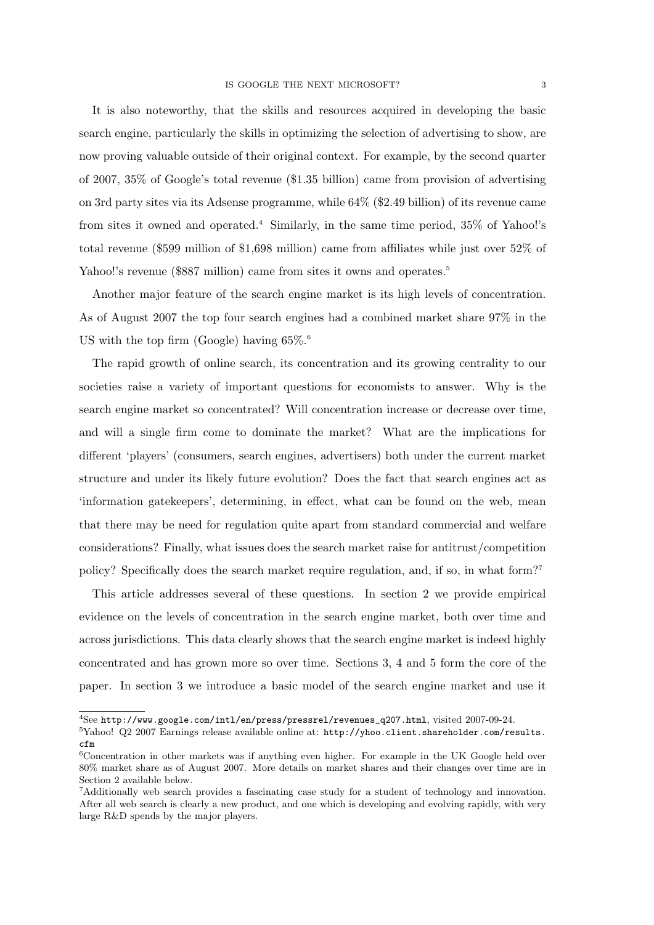It is also noteworthy, that the skills and resources acquired in developing the basic search engine, particularly the skills in optimizing the selection of advertising to show, are now proving valuable outside of their original context. For example, by the second quarter of 2007, 35% of Google's total revenue (\$1.35 billion) came from provision of advertising on 3rd party sites via its Adsense programme, while 64% (\$2.49 billion) of its revenue came from sites it owned and operated.<sup>4</sup> Similarly, in the same time period, 35% of Yahoo!'s total revenue (\$599 million of \$1,698 million) came from affiliates while just over 52% of Yahoo!'s revenue (\$887 million) came from sites it owns and operates.<sup>5</sup>

Another major feature of the search engine market is its high levels of concentration. As of August 2007 the top four search engines had a combined market share 97% in the US with the top firm (Google) having  $65\%$ .<sup>6</sup>

The rapid growth of online search, its concentration and its growing centrality to our societies raise a variety of important questions for economists to answer. Why is the search engine market so concentrated? Will concentration increase or decrease over time, and will a single firm come to dominate the market? What are the implications for different 'players' (consumers, search engines, advertisers) both under the current market structure and under its likely future evolution? Does the fact that search engines act as 'information gatekeepers', determining, in effect, what can be found on the web, mean that there may be need for regulation quite apart from standard commercial and welfare considerations? Finally, what issues does the search market raise for antitrust/competition policy? Specifically does the search market require regulation, and, if so, in what form?<sup>7</sup>

This article addresses several of these questions. In section 2 we provide empirical evidence on the levels of concentration in the search engine market, both over time and across jurisdictions. This data clearly shows that the search engine market is indeed highly concentrated and has grown more so over time. Sections 3, 4 and 5 form the core of the paper. In section 3 we introduce a basic model of the search engine market and use it

 $4$ See http://www.google.com/intl/en/press/pressrel/revenues\_q207.html, visited 2007-09-24.

 $5$ Yahoo! Q2 2007 Earnings release available online at: http://yhoo.client.shareholder.com/results.  $cfm$ 

<sup>6</sup>Concentration in other markets was if anything even higher. For example in the UK Google held over 80% market share as of August 2007. More details on market shares and their changes over time are in Section 2 available below.

<sup>7</sup>Additionally web search provides a fascinating case study for a student of technology and innovation. After all web search is clearly a new product, and one which is developing and evolving rapidly, with very large R&D spends by the major players.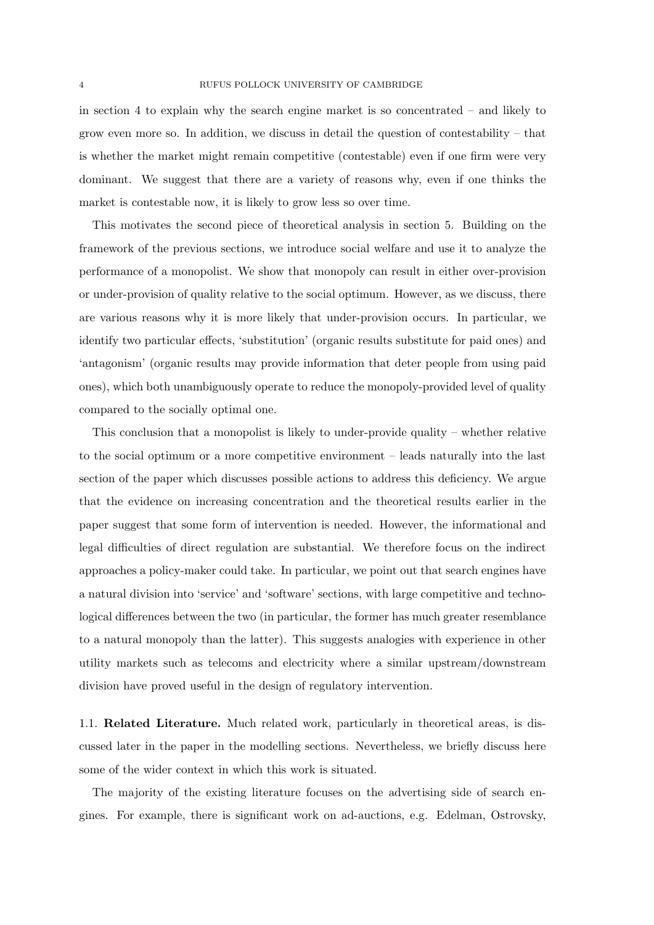in section 4 to explain why the search engine market is so concentrated  $-$  and likely to grow even more so. In addition, we discuss in detail the question of contestability – that is whether the market might remain competitive (contestable) even if one firm were very dominant. We suggest that there are a variety of reasons why, even if one thinks the market is contestable now, it is likely to grow less so over time.

This motivates the second piece of theoretical analysis in section 5. Building on the framework of the previous sections, we introduce social welfare and use it to analyze the performance of a monopolist. We show that monopoly can result in either over-provision or under-provision of quality relative to the social optimum. However, as we discuss, there are various reasons why it is more likely that under-provision occurs. In particular, we identify two particular effects, 'substitution' (organic results substitute for paid ones) and 'antagonism' (organic results may provide information that deter people from using paid ones), which both unambiguously operate to reduce the monopoly-provided level of quality compared to the socially optimal one.

This conclusion that a monopolist is likely to under-provide quality – whether relative to the social optimum or a more competitive environment – leads naturally into the last section of the paper which discusses possible actions to address this deficiency. We argue that the evidence on increasing concentration and the theoretical results earlier in the paper suggest that some form of intervention is needed. However, the informational and legal difficulties of direct regulation are substantial. We therefore focus on the indirect approaches a policy-maker could take. In particular, we point out that search engines have a natural division into 'service' and 'software' sections, with large competitive and technological differences between the two (in particular, the former has much greater resemblance to a natural monopoly than the latter). This suggests analogies with experience in other utility markets such as telecoms and electricity where a similar upstream/downstream division have proved useful in the design of regulatory intervention.

1.1. Related Literature. Much related work, particularly in theoretical areas, is discussed later in the paper in the modelling sections. Nevertheless, we briefly discuss here some of the wider context in which this work is situated.

The majority of the existing literature focuses on the advertising side of search engines. For example, there is significant work on ad-auctions, e.g. Edelman, Ostrovsky,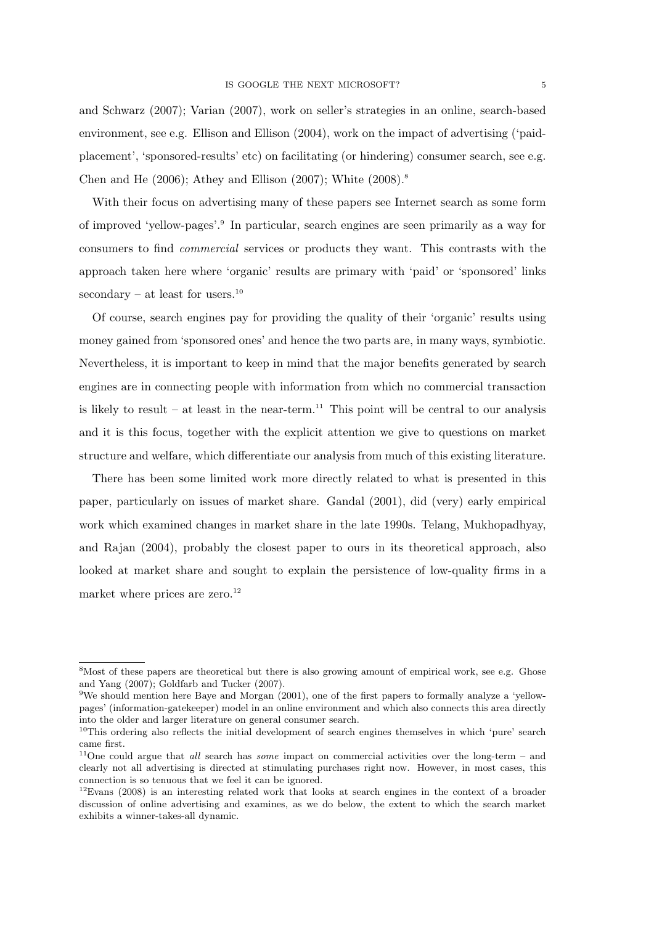and Schwarz (2007); Varian (2007), work on seller's strategies in an online, search-based environment, see e.g. Ellison and Ellison (2004), work on the impact of advertising ('paidplacement', 'sponsored-results' etc) on facilitating (or hindering) consumer search, see e.g. Chen and He  $(2006)$ ; Athey and Ellison  $(2007)$ ; White  $(2008)$ .<sup>8</sup>

With their focus on advertising many of these papers see Internet search as some form of improved 'yellow-pages'.<sup>9</sup> In particular, search engines are seen primarily as a way for consumers to find commercial services or products they want. This contrasts with the approach taken here where 'organic' results are primary with 'paid' or 'sponsored' links secondary – at least for users.<sup>10</sup>

Of course, search engines pay for providing the quality of their 'organic' results using money gained from 'sponsored ones' and hence the two parts are, in many ways, symbiotic. Nevertheless, it is important to keep in mind that the major benefits generated by search engines are in connecting people with information from which no commercial transaction is likely to result – at least in the near-term.<sup>11</sup> This point will be central to our analysis and it is this focus, together with the explicit attention we give to questions on market structure and welfare, which differentiate our analysis from much of this existing literature.

There has been some limited work more directly related to what is presented in this paper, particularly on issues of market share. Gandal (2001), did (very) early empirical work which examined changes in market share in the late 1990s. Telang, Mukhopadhyay, and Rajan (2004), probably the closest paper to ours in its theoretical approach, also looked at market share and sought to explain the persistence of low-quality firms in a market where prices are zero.<sup>12</sup>

<sup>8</sup>Most of these papers are theoretical but there is also growing amount of empirical work, see e.g. Ghose and Yang (2007); Goldfarb and Tucker (2007).

<sup>&</sup>lt;sup>9</sup>We should mention here Baye and Morgan (2001), one of the first papers to formally analyze a 'yellowpages' (information-gatekeeper) model in an online environment and which also connects this area directly into the older and larger literature on general consumer search.

<sup>10</sup>This ordering also reflects the initial development of search engines themselves in which 'pure' search came first.

<sup>&</sup>lt;sup>11</sup>One could argue that all search has *some* impact on commercial activities over the long-term – and clearly not all advertising is directed at stimulating purchases right now. However, in most cases, this connection is so tenuous that we feel it can be ignored.

<sup>12</sup>Evans (2008) is an interesting related work that looks at search engines in the context of a broader discussion of online advertising and examines, as we do below, the extent to which the search market exhibits a winner-takes-all dynamic.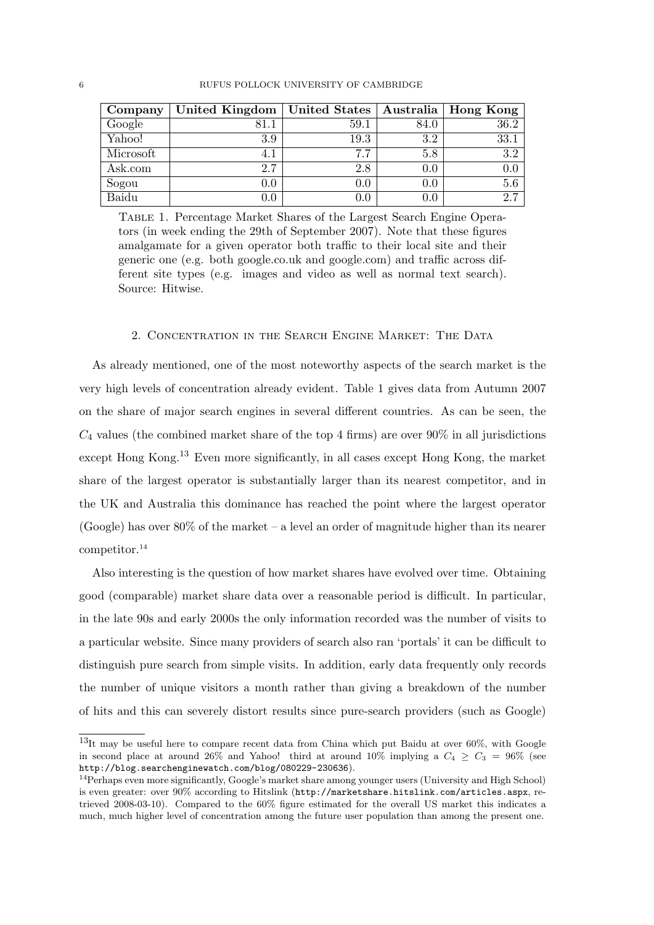| Company   | United Kingdom   United States   Australia   Hong Kong |      |         |      |
|-----------|--------------------------------------------------------|------|---------|------|
| Google    |                                                        | 59.1 | 84.0    | 36.2 |
| Yahoo!    | 3.9                                                    | 19.3 | 3.2     | 33.1 |
| Microsoft | 4.1                                                    | 7.7  | 5.8     | 3.2  |
| Ask.com   | 2.7                                                    | 2.8  | 0.0     |      |
| Sogou     | $0.0\,$                                                | 0.0  | 0.0     | 5.6  |
| Baidu     | 0.0                                                    | 0.0  | $0.0\,$ | 2.7  |

Table 1. Percentage Market Shares of the Largest Search Engine Operators (in week ending the 29th of September 2007). Note that these figures amalgamate for a given operator both traffic to their local site and their generic one (e.g. both google.co.uk and google.com) and traffic across different site types (e.g. images and video as well as normal text search). Source: Hitwise.

### 2. Concentration in the Search Engine Market: The Data

As already mentioned, one of the most noteworthy aspects of the search market is the very high levels of concentration already evident. Table 1 gives data from Autumn 2007 on the share of major search engines in several different countries. As can be seen, the  $C_4$  values (the combined market share of the top 4 firms) are over 90% in all jurisdictions except Hong Kong.<sup>13</sup> Even more significantly, in all cases except Hong Kong, the market share of the largest operator is substantially larger than its nearest competitor, and in the UK and Australia this dominance has reached the point where the largest operator (Google) has over  $80\%$  of the market – a level an order of magnitude higher than its nearer  $\mu$ competitor.<sup>14</sup>

Also interesting is the question of how market shares have evolved over time. Obtaining good (comparable) market share data over a reasonable period is difficult. In particular, in the late 90s and early 2000s the only information recorded was the number of visits to a particular website. Since many providers of search also ran 'portals' it can be difficult to distinguish pure search from simple visits. In addition, early data frequently only records the number of unique visitors a month rather than giving a breakdown of the number of hits and this can severely distort results since pure-search providers (such as Google)

<sup>&</sup>lt;sup>13</sup>It may be useful here to compare recent data from China which put Baidu at over 60%, with Google in second place at around 26% and Yahoo! third at around 10% implying a  $C_4 \ge C_3 = 96\%$  (see http://blog.searchenginewatch.com/blog/080229-230636).

<sup>&</sup>lt;sup>14</sup>Perhaps even more significantly, Google's market share among younger users (University and High School) is even greater: over 90% according to Hitslink (http://marketshare.hitslink.com/articles.aspx, retrieved 2008-03-10). Compared to the 60% figure estimated for the overall US market this indicates a much, much higher level of concentration among the future user population than among the present one.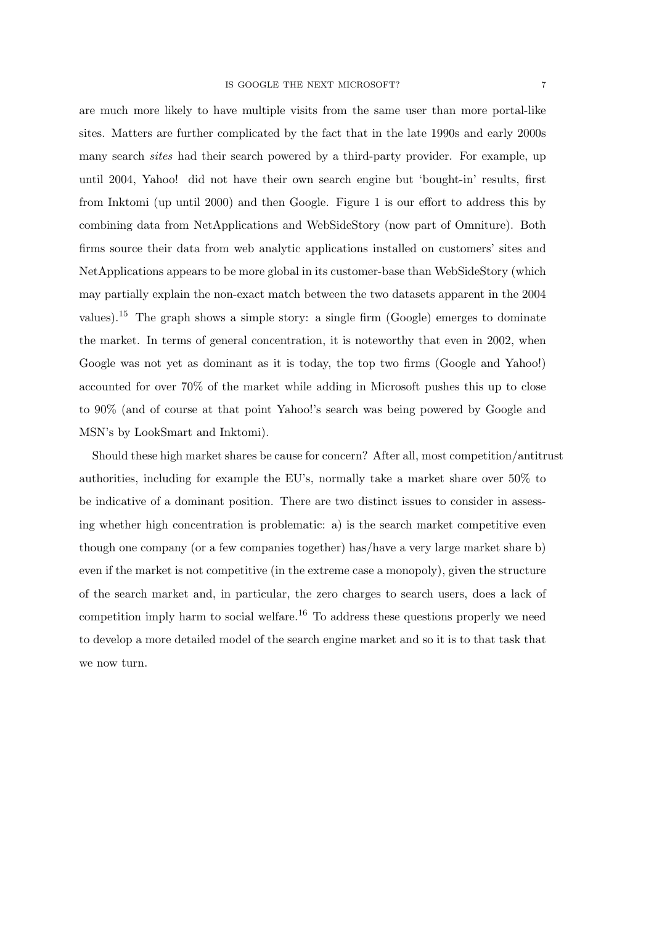are much more likely to have multiple visits from the same user than more portal-like sites. Matters are further complicated by the fact that in the late 1990s and early 2000s many search *sites* had their search powered by a third-party provider. For example, up until 2004, Yahoo! did not have their own search engine but 'bought-in' results, first from Inktomi (up until 2000) and then Google. Figure 1 is our effort to address this by combining data from NetApplications and WebSideStory (now part of Omniture). Both firms source their data from web analytic applications installed on customers' sites and NetApplications appears to be more global in its customer-base than WebSideStory (which may partially explain the non-exact match between the two datasets apparent in the 2004 values).<sup>15</sup> The graph shows a simple story: a single firm (Google) emerges to dominate the market. In terms of general concentration, it is noteworthy that even in 2002, when Google was not yet as dominant as it is today, the top two firms (Google and Yahoo!) accounted for over 70% of the market while adding in Microsoft pushes this up to close to 90% (and of course at that point Yahoo!'s search was being powered by Google and MSN's by LookSmart and Inktomi).

Should these high market shares be cause for concern? After all, most competition/antitrust authorities, including for example the EU's, normally take a market share over 50% to be indicative of a dominant position. There are two distinct issues to consider in assessing whether high concentration is problematic: a) is the search market competitive even though one company (or a few companies together) has/have a very large market share b) even if the market is not competitive (in the extreme case a monopoly), given the structure of the search market and, in particular, the zero charges to search users, does a lack of competition imply harm to social welfare.<sup>16</sup> To address these questions properly we need to develop a more detailed model of the search engine market and so it is to that task that we now turn.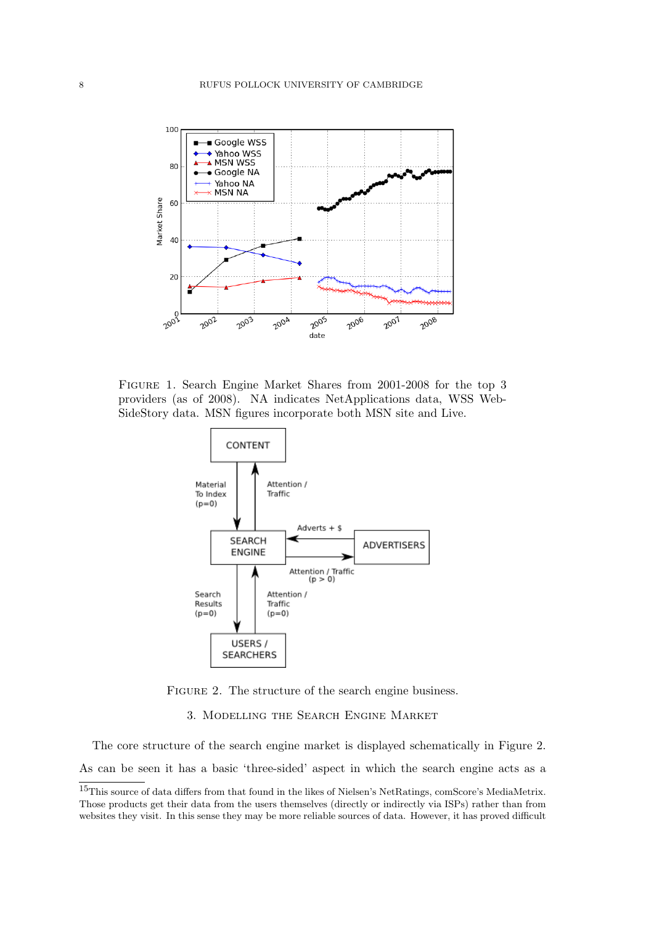

Figure 1. Search Engine Market Shares from 2001-2008 for the top 3 providers (as of 2008). NA indicates NetApplications data, WSS Web-SideStory data. MSN figures incorporate both MSN site and Live.



FIGURE 2. The structure of the search engine business.

# 3. Modelling the Search Engine Market

The core structure of the search engine market is displayed schematically in Figure 2.

As can be seen it has a basic 'three-sided' aspect in which the search engine acts as a

 $^{15}\!{\rm This}$  source of data differs from that found in the likes of Nielsen's NetRatings, comScore's MediaMetrix. Those products get their data from the users themselves (directly or indirectly via ISPs) rather than from websites they visit. In this sense they may be more reliable sources of data. However, it has proved difficult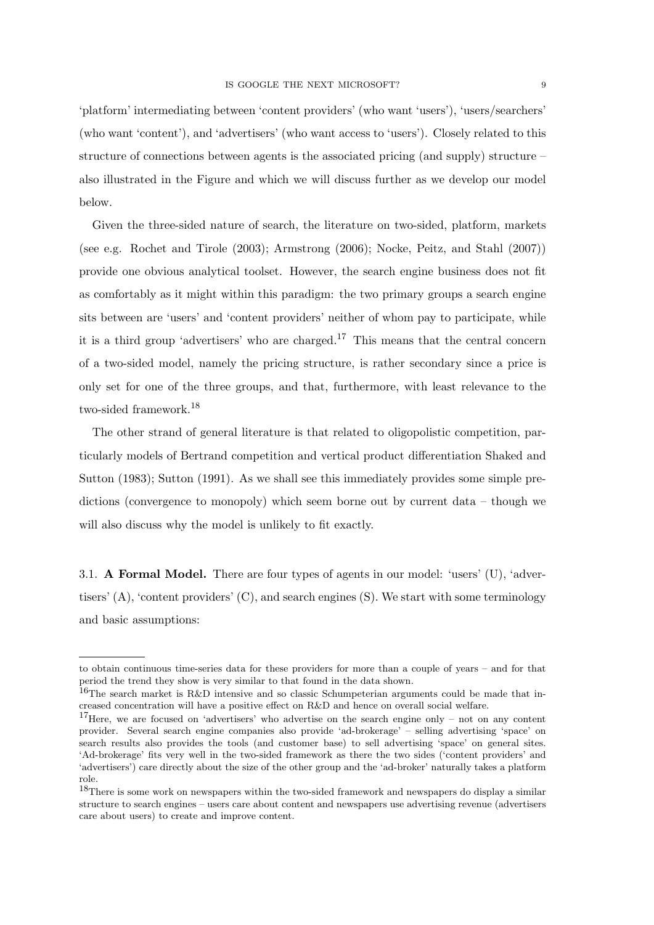'platform' intermediating between 'content providers' (who want 'users'), 'users/searchers' (who want 'content'), and 'advertisers' (who want access to 'users'). Closely related to this structure of connections between agents is the associated pricing (and supply) structure – also illustrated in the Figure and which we will discuss further as we develop our model below.

Given the three-sided nature of search, the literature on two-sided, platform, markets (see e.g. Rochet and Tirole (2003); Armstrong (2006); Nocke, Peitz, and Stahl (2007)) provide one obvious analytical toolset. However, the search engine business does not fit as comfortably as it might within this paradigm: the two primary groups a search engine sits between are 'users' and 'content providers' neither of whom pay to participate, while it is a third group 'advertisers' who are charged.<sup>17</sup> This means that the central concern of a two-sided model, namely the pricing structure, is rather secondary since a price is only set for one of the three groups, and that, furthermore, with least relevance to the two-sided framework.<sup>18</sup>

The other strand of general literature is that related to oligopolistic competition, particularly models of Bertrand competition and vertical product differentiation Shaked and Sutton (1983); Sutton (1991). As we shall see this immediately provides some simple predictions (convergence to monopoly) which seem borne out by current data – though we will also discuss why the model is unlikely to fit exactly.

3.1. A Formal Model. There are four types of agents in our model: 'users' (U), 'advertisers'  $(A)$ , 'content providers'  $(C)$ , and search engines  $(S)$ . We start with some terminology and basic assumptions:

to obtain continuous time-series data for these providers for more than a couple of years – and for that period the trend they show is very similar to that found in the data shown.

<sup>&</sup>lt;sup>16</sup>The search market is R&D intensive and so classic Schumpeterian arguments could be made that increased concentration will have a positive effect on R&D and hence on overall social welfare.

<sup>&</sup>lt;sup>17</sup>Here, we are focused on 'advertisers' who advertise on the search engine only – not on any content provider. Several search engine companies also provide 'ad-brokerage' – selling advertising 'space' on search results also provides the tools (and customer base) to sell advertising 'space' on general sites. 'Ad-brokerage' fits very well in the two-sided framework as there the two sides ('content providers' and 'advertisers') care directly about the size of the other group and the 'ad-broker' naturally takes a platform role.

<sup>&</sup>lt;sup>18</sup>There is some work on newspapers within the two-sided framework and newspapers do display a similar structure to search engines – users care about content and newspapers use advertising revenue (advertisers care about users) to create and improve content.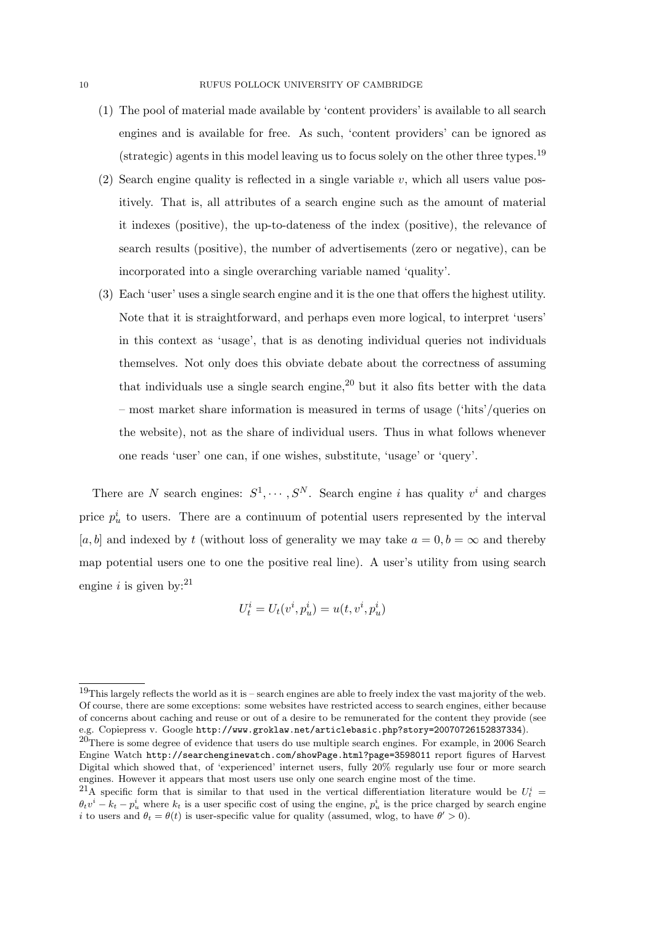- (1) The pool of material made available by 'content providers' is available to all search engines and is available for free. As such, 'content providers' can be ignored as (strategic) agents in this model leaving us to focus solely on the other three types.<sup>19</sup>
- (2) Search engine quality is reflected in a single variable  $v$ , which all users value positively. That is, all attributes of a search engine such as the amount of material it indexes (positive), the up-to-dateness of the index (positive), the relevance of search results (positive), the number of advertisements (zero or negative), can be incorporated into a single overarching variable named 'quality'.
- (3) Each 'user' uses a single search engine and it is the one that offers the highest utility. Note that it is straightforward, and perhaps even more logical, to interpret 'users' in this context as 'usage', that is as denoting individual queries not individuals themselves. Not only does this obviate debate about the correctness of assuming that individuals use a single search engine,  $20$  but it also fits better with the data – most market share information is measured in terms of usage ('hits'/queries on the website), not as the share of individual users. Thus in what follows whenever one reads 'user' one can, if one wishes, substitute, 'usage' or 'query'.

There are N search engines:  $S^1, \dots, S^N$ . Search engine i has quality  $v^i$  and charges price  $p_u^i$  to users. There are a continuum of potential users represented by the interval [a, b] and indexed by t (without loss of generality we may take  $a = 0, b = \infty$  and thereby map potential users one to one the positive real line). A user's utility from using search engine i is given by:  $2^1$ 

$$
U^i_t = U_t(v^i, p^i_u) = u(t, v^i, p^i_u)
$$

<sup>&</sup>lt;sup>19</sup>This largely reflects the world as it is – search engines are able to freely index the vast majority of the web. Of course, there are some exceptions: some websites have restricted access to search engines, either because of concerns about caching and reuse or out of a desire to be remunerated for the content they provide (see e.g. Copiepress v. Google http://www.groklaw.net/articlebasic.php?story=20070726152837334).

<sup>&</sup>lt;sup>20</sup>There is some degree of evidence that users do use multiple search engines. For example, in 2006 Search Engine Watch http://searchenginewatch.com/showPage.html?page=3598011 report figures of Harvest Digital which showed that, of 'experienced' internet users, fully 20% regularly use four or more search engines. However it appears that most users use only one search engine most of the time.

<sup>&</sup>lt;sup>21</sup>A specific form that is similar to that used in the vertical differentiation literature would be  $U_t^i$  $\theta_t v^i - k_t - p^i_u$  where  $k_t$  is a user specific cost of using the engine,  $p^i_u$  is the price charged by search engine i to users and  $\theta_t = \theta(t)$  is user-specific value for quality (assumed, wlog, to have  $\theta' > 0$ ).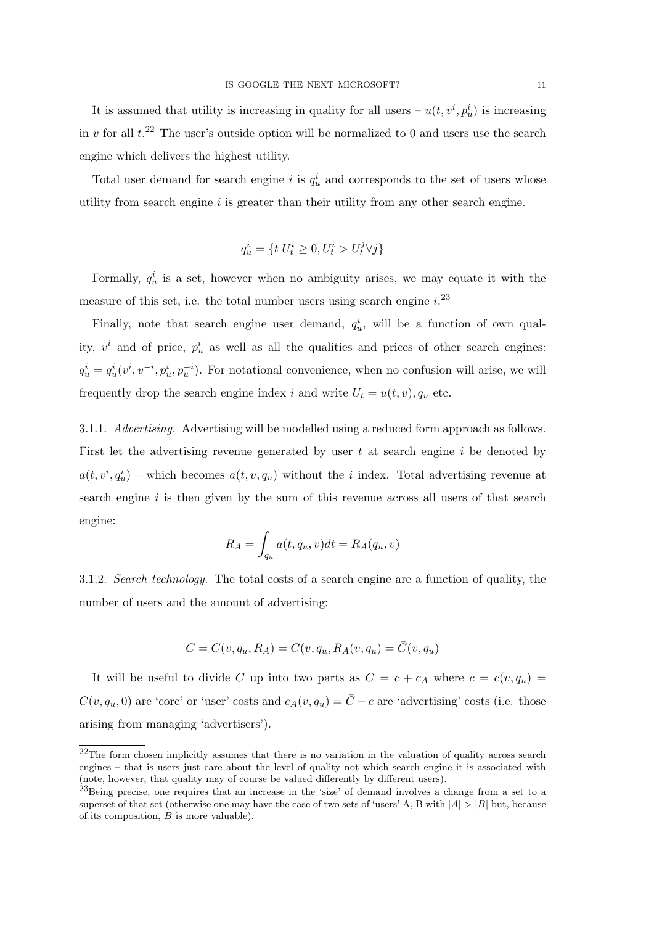It is assumed that utility is increasing in quality for all users  $-u(t, v^i, p^i_u)$  is increasing in v for all  $t.^{22}$ . The user's outside option will be normalized to 0 and users use the search engine which delivers the highest utility.

Total user demand for search engine i is  $q_u^i$  and corresponds to the set of users whose utility from search engine  $i$  is greater than their utility from any other search engine.

$$
q_u^i = \{t | U_t^i \ge 0, U_t^i > U_t^j \forall j\}
$$

Formally,  $q_u^i$  is a set, however when no ambiguity arises, we may equate it with the measure of this set, i.e. the total number users using search engine  $i^{23}$ 

Finally, note that search engine user demand,  $q_u^i$ , will be a function of own quality,  $v^i$  and of price,  $p^i_u$  as well as all the qualities and prices of other search engines:  $q_u^i = q_u^i(v^i, v^{-i}, p_u^i, p_u^{-i})$ . For notational convenience, when no confusion will arise, we will frequently drop the search engine index i and write  $U_t = u(t, v)$ ,  $q_u$  etc.

3.1.1. Advertising. Advertising will be modelled using a reduced form approach as follows. First let the advertising revenue generated by user  $t$  at search engine  $i$  be denoted by  $a(t, v^i, q_u^i)$  – which becomes  $a(t, v, q_u)$  without the *i* index. Total advertising revenue at search engine  $i$  is then given by the sum of this revenue across all users of that search engine:

$$
R_A = \int_{q_u} a(t, q_u, v) dt = R_A(q_u, v)
$$

3.1.2. Search technology. The total costs of a search engine are a function of quality, the number of users and the amount of advertising:

$$
C = C(v, q_u, R_A) = C(v, q_u, R_A(v, q_u) = \bar{C}(v, q_u)
$$

It will be useful to divide C up into two parts as  $C = c + c<sub>A</sub>$  where  $c = c(v, q_u)$  $C(v, q_u, 0)$  are 'core' or 'user' costs and  $c_A(v, q_u) = \overline{C} - c$  are 'advertising' costs (i.e. those arising from managing 'advertisers').

<sup>&</sup>lt;sup>22</sup>The form chosen implicitly assumes that there is no variation in the valuation of quality across search engines – that is users just care about the level of quality not which search engine it is associated with (note, however, that quality may of course be valued differently by different users).

 $23$ Being precise, one requires that an increase in the 'size' of demand involves a change from a set to a superset of that set (otherwise one may have the case of two sets of 'users' A, B with  $|A| > |B|$  but, because of its composition, B is more valuable).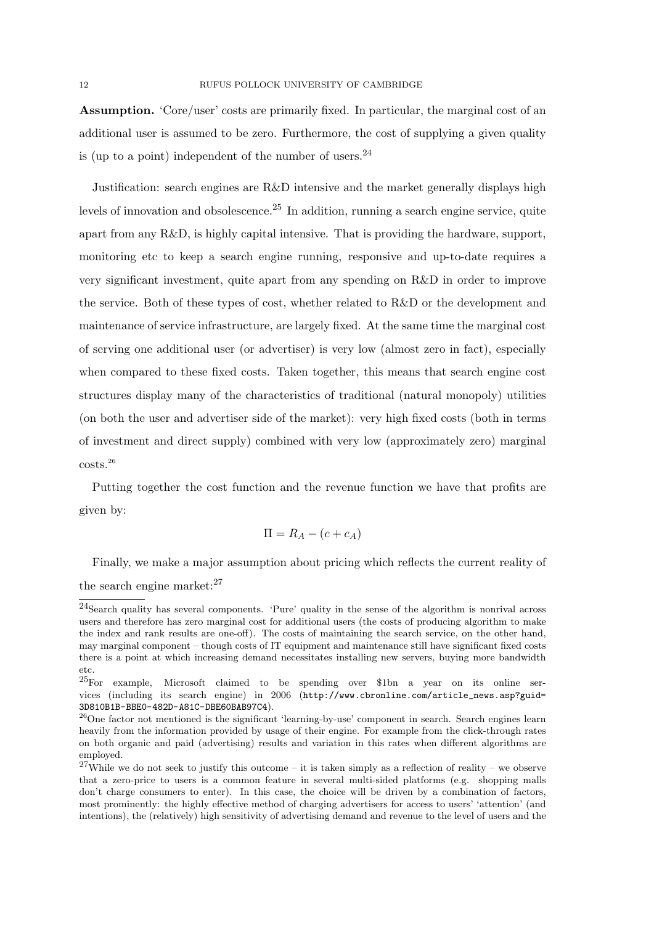Assumption. 'Core/user' costs are primarily fixed. In particular, the marginal cost of an additional user is assumed to be zero. Furthermore, the cost of supplying a given quality is (up to a point) independent of the number of users.  $24$ 

Justification: search engines are R&D intensive and the market generally displays high levels of innovation and obsolescence.<sup>25</sup> In addition, running a search engine service, quite apart from any R&D, is highly capital intensive. That is providing the hardware, support, monitoring etc to keep a search engine running, responsive and up-to-date requires a very significant investment, quite apart from any spending on R&D in order to improve the service. Both of these types of cost, whether related to R&D or the development and maintenance of service infrastructure, are largely fixed. At the same time the marginal cost of serving one additional user (or advertiser) is very low (almost zero in fact), especially when compared to these fixed costs. Taken together, this means that search engine cost structures display many of the characteristics of traditional (natural monopoly) utilities (on both the user and advertiser side of the market): very high fixed costs (both in terms of investment and direct supply) combined with very low (approximately zero) marginal costs.<sup>26</sup>

Putting together the cost function and the revenue function we have that profits are given by:

$$
\Pi = R_A - (c + c_A)
$$

Finally, we make a major assumption about pricing which reflects the current reality of the search engine market:  $27$ 

<sup>&</sup>lt;sup>24</sup>Search quality has several components. 'Pure' quality in the sense of the algorithm is nonrival across users and therefore has zero marginal cost for additional users (the costs of producing algorithm to make the index and rank results are one-off). The costs of maintaining the search service, on the other hand, may marginal component – though costs of IT equipment and maintenance still have significant fixed costs there is a point at which increasing demand necessitates installing new servers, buying more bandwidth etc.

<sup>25</sup>For example, Microsoft claimed to be spending over \$1bn a year on its online services (including its search engine) in 2006 (http://www.cbronline.com/article\_news.asp?guid= 3D810B1B-BBE0-482D-A81C-DBE60BAB97C4).

<sup>&</sup>lt;sup>26</sup>One factor not mentioned is the significant 'learning-by-use' component in search. Search engines learn heavily from the information provided by usage of their engine. For example from the click-through rates on both organic and paid (advertising) results and variation in this rates when different algorithms are employed.

<sup>&</sup>lt;sup>27</sup>While we do not seek to justify this outcome – it is taken simply as a reflection of reality – we observe that a zero-price to users is a common feature in several multi-sided platforms (e.g. shopping malls don't charge consumers to enter). In this case, the choice will be driven by a combination of factors, most prominently: the highly effective method of charging advertisers for access to users' 'attention' (and intentions), the (relatively) high sensitivity of advertising demand and revenue to the level of users and the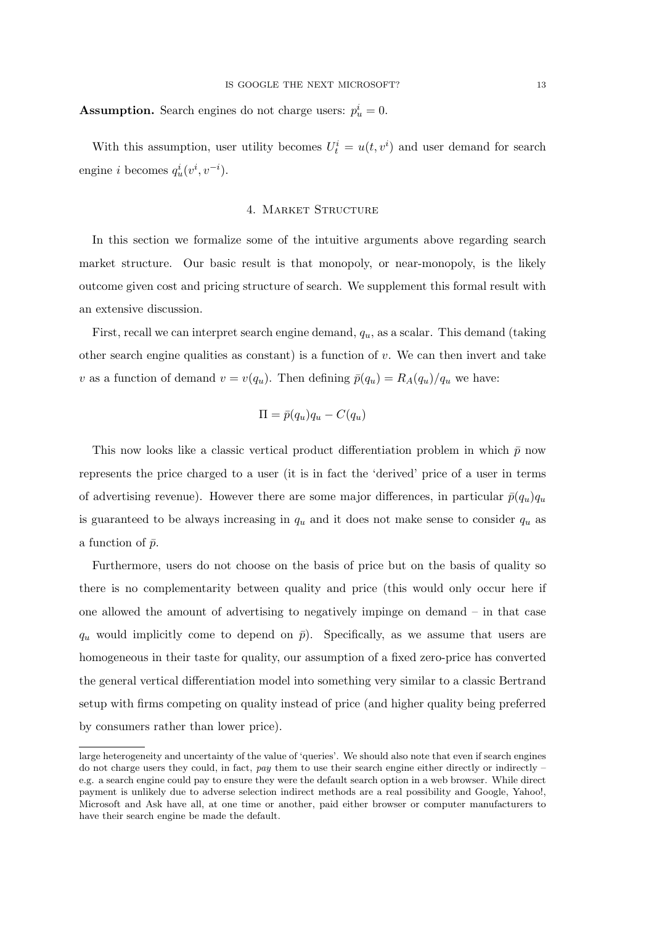**Assumption.** Search engines do not charge users:  $p_u^i = 0$ .

With this assumption, user utility becomes  $U_t^i = u(t, v^i)$  and user demand for search engine *i* becomes  $q_u^i(v^i, v^{-i})$ .

# 4. Market Structure

In this section we formalize some of the intuitive arguments above regarding search market structure. Our basic result is that monopoly, or near-monopoly, is the likely outcome given cost and pricing structure of search. We supplement this formal result with an extensive discussion.

First, recall we can interpret search engine demand,  $q_u$ , as a scalar. This demand (taking other search engine qualities as constant) is a function of  $v$ . We can then invert and take v as a function of demand  $v = v(q_u)$ . Then defining  $\bar{p}(q_u) = R_A(q_u)/q_u$  we have:

$$
\Pi = \bar{p}(q_u)q_u - C(q_u)
$$

This now looks like a classic vertical product differentiation problem in which  $\bar{p}$  now represents the price charged to a user (it is in fact the 'derived' price of a user in terms of advertising revenue). However there are some major differences, in particular  $\bar{p}(q_u)q_u$ is guaranteed to be always increasing in  $q_u$  and it does not make sense to consider  $q_u$  as a function of  $\bar{p}$ .

Furthermore, users do not choose on the basis of price but on the basis of quality so there is no complementarity between quality and price (this would only occur here if one allowed the amount of advertising to negatively impinge on demand – in that case  $q_u$  would implicitly come to depend on  $\bar{p}$ ). Specifically, as we assume that users are homogeneous in their taste for quality, our assumption of a fixed zero-price has converted the general vertical differentiation model into something very similar to a classic Bertrand setup with firms competing on quality instead of price (and higher quality being preferred by consumers rather than lower price).

large heterogeneity and uncertainty of the value of 'queries'. We should also note that even if search engines do not charge users they could, in fact, pay them to use their search engine either directly or indirectly  $$ e.g. a search engine could pay to ensure they were the default search option in a web browser. While direct payment is unlikely due to adverse selection indirect methods are a real possibility and Google, Yahoo!, Microsoft and Ask have all, at one time or another, paid either browser or computer manufacturers to have their search engine be made the default.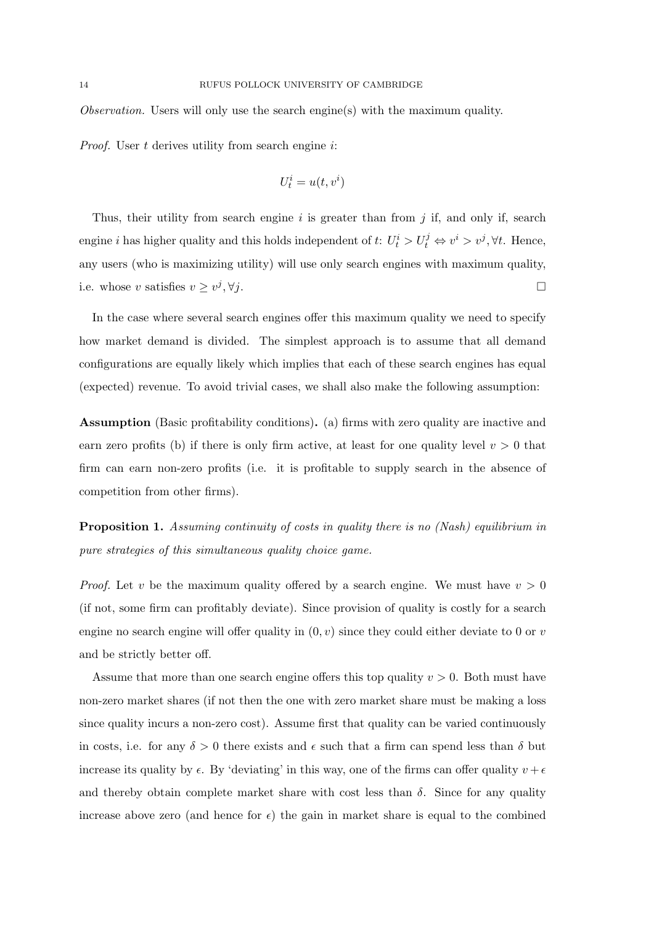Observation. Users will only use the search engine(s) with the maximum quality.

*Proof.* User  $t$  derives utility from search engine  $i$ :

$$
U^i_t=u(t,v^i)
$$

Thus, their utility from search engine i is greater than from j if, and only if, search engine *i* has higher quality and this holds independent of  $t: U_t^i > U_t^j \Leftrightarrow v^i > v^j, \forall t$ . Hence, any users (who is maximizing utility) will use only search engines with maximum quality, i.e. whose v satisfies  $v \geq v^j$  $, \forall j.$ 

In the case where several search engines offer this maximum quality we need to specify how market demand is divided. The simplest approach is to assume that all demand configurations are equally likely which implies that each of these search engines has equal (expected) revenue. To avoid trivial cases, we shall also make the following assumption:

Assumption (Basic profitability conditions). (a) firms with zero quality are inactive and earn zero profits (b) if there is only firm active, at least for one quality level  $v > 0$  that firm can earn non-zero profits (i.e. it is profitable to supply search in the absence of competition from other firms).

Proposition 1. Assuming continuity of costs in quality there is no (Nash) equilibrium in pure strategies of this simultaneous quality choice game.

*Proof.* Let v be the maximum quality offered by a search engine. We must have  $v > 0$ (if not, some firm can profitably deviate). Since provision of quality is costly for a search engine no search engine will offer quality in  $(0, v)$  since they could either deviate to 0 or v and be strictly better off.

Assume that more than one search engine offers this top quality  $v > 0$ . Both must have non-zero market shares (if not then the one with zero market share must be making a loss since quality incurs a non-zero cost). Assume first that quality can be varied continuously in costs, i.e. for any  $\delta > 0$  there exists and  $\epsilon$  such that a firm can spend less than  $\delta$  but increase its quality by  $\epsilon$ . By 'deviating' in this way, one of the firms can offer quality  $v + \epsilon$ and thereby obtain complete market share with cost less than  $\delta$ . Since for any quality increase above zero (and hence for  $\epsilon$ ) the gain in market share is equal to the combined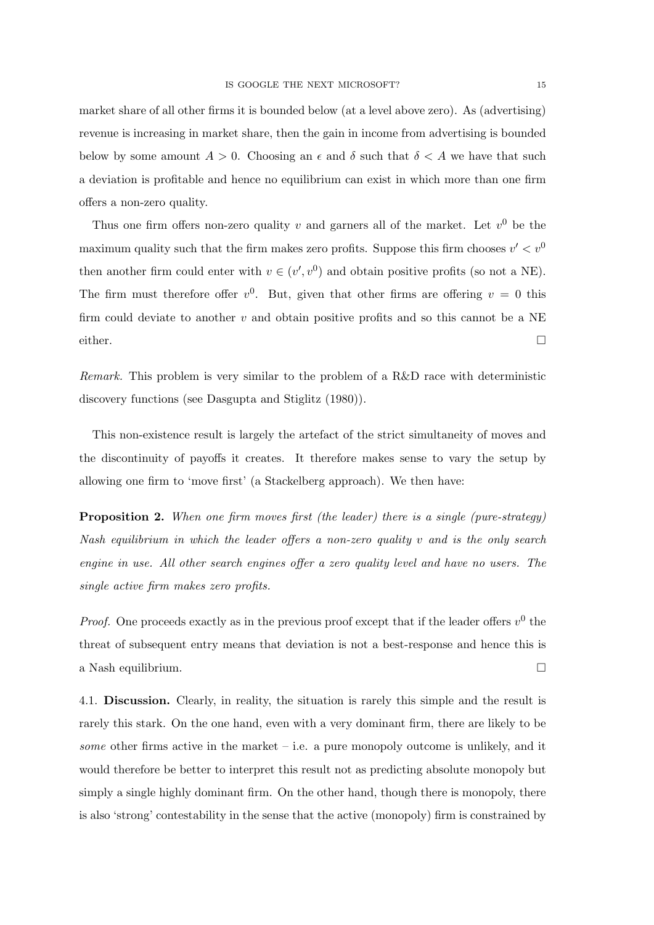market share of all other firms it is bounded below (at a level above zero). As (advertising) revenue is increasing in market share, then the gain in income from advertising is bounded below by some amount  $A > 0$ . Choosing an  $\epsilon$  and  $\delta$  such that  $\delta < A$  we have that such a deviation is profitable and hence no equilibrium can exist in which more than one firm offers a non-zero quality.

Thus one firm offers non-zero quality v and garners all of the market. Let  $v^0$  be the maximum quality such that the firm makes zero profits. Suppose this firm chooses  $v' < v^0$ then another firm could enter with  $v \in (v', v^0)$  and obtain positive profits (so not a NE). The firm must therefore offer  $v^0$ . But, given that other firms are offering  $v = 0$  this firm could deviate to another  $v$  and obtain positive profits and so this cannot be a NE either.  $\Box$ 

Remark. This problem is very similar to the problem of a R&D race with deterministic discovery functions (see Dasgupta and Stiglitz (1980)).

This non-existence result is largely the artefact of the strict simultaneity of moves and the discontinuity of payoffs it creates. It therefore makes sense to vary the setup by allowing one firm to 'move first' (a Stackelberg approach). We then have:

**Proposition 2.** When one firm moves first (the leader) there is a single (pure-strategy) Nash equilibrium in which the leader offers a non-zero quality v and is the only search engine in use. All other search engines offer a zero quality level and have no users. The single active firm makes zero profits.

*Proof.* One proceeds exactly as in the previous proof except that if the leader offers  $v^0$  the threat of subsequent entry means that deviation is not a best-response and hence this is a Nash equilibrium.

4.1. Discussion. Clearly, in reality, the situation is rarely this simple and the result is rarely this stark. On the one hand, even with a very dominant firm, there are likely to be some other firms active in the market – i.e. a pure monopoly outcome is unlikely, and it would therefore be better to interpret this result not as predicting absolute monopoly but simply a single highly dominant firm. On the other hand, though there is monopoly, there is also 'strong' contestability in the sense that the active (monopoly) firm is constrained by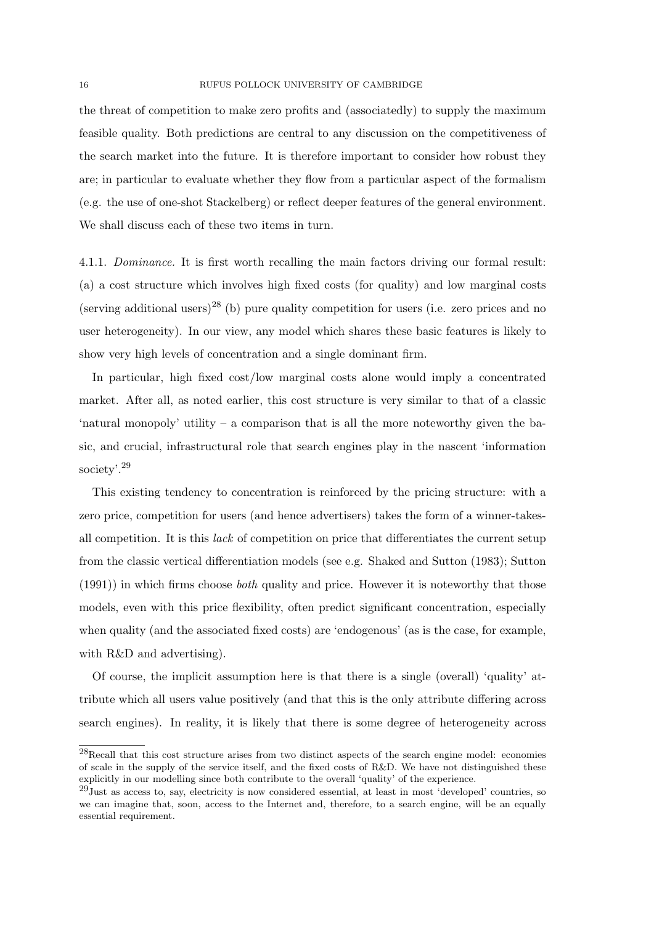the threat of competition to make zero profits and (associatedly) to supply the maximum feasible quality. Both predictions are central to any discussion on the competitiveness of the search market into the future. It is therefore important to consider how robust they are; in particular to evaluate whether they flow from a particular aspect of the formalism (e.g. the use of one-shot Stackelberg) or reflect deeper features of the general environment. We shall discuss each of these two items in turn.

4.1.1. Dominance. It is first worth recalling the main factors driving our formal result: (a) a cost structure which involves high fixed costs (for quality) and low marginal costs (serving additional users)<sup>28</sup> (b) pure quality competition for users (i.e. zero prices and no user heterogeneity). In our view, any model which shares these basic features is likely to show very high levels of concentration and a single dominant firm.

In particular, high fixed cost/low marginal costs alone would imply a concentrated market. After all, as noted earlier, this cost structure is very similar to that of a classic 'natural monopoly' utility – a comparison that is all the more noteworthy given the basic, and crucial, infrastructural role that search engines play in the nascent 'information society'.<sup>29</sup>

This existing tendency to concentration is reinforced by the pricing structure: with a zero price, competition for users (and hence advertisers) takes the form of a winner-takesall competition. It is this lack of competition on price that differentiates the current setup from the classic vertical differentiation models (see e.g. Shaked and Sutton (1983); Sutton (1991)) in which firms choose both quality and price. However it is noteworthy that those models, even with this price flexibility, often predict significant concentration, especially when quality (and the associated fixed costs) are 'endogenous' (as is the case, for example, with R&D and advertising).

Of course, the implicit assumption here is that there is a single (overall) 'quality' attribute which all users value positively (and that this is the only attribute differing across search engines). In reality, it is likely that there is some degree of heterogeneity across

<sup>28</sup>Recall that this cost structure arises from two distinct aspects of the search engine model: economies of scale in the supply of the service itself, and the fixed costs of R&D. We have not distinguished these explicitly in our modelling since both contribute to the overall 'quality' of the experience.

 $^{29}$ Just as access to, say, electricity is now considered essential, at least in most 'developed' countries, so we can imagine that, soon, access to the Internet and, therefore, to a search engine, will be an equally essential requirement.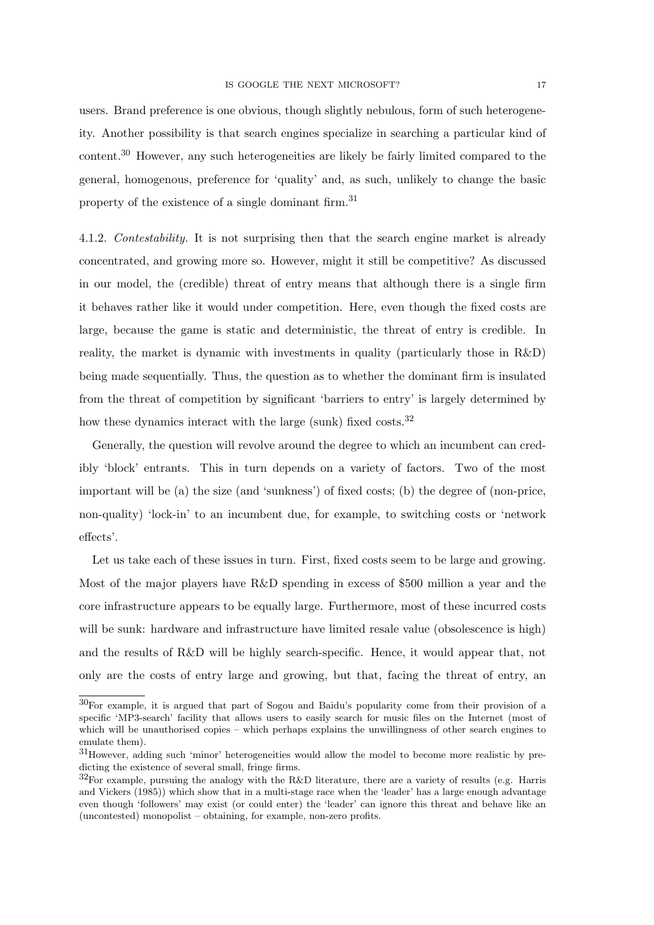users. Brand preference is one obvious, though slightly nebulous, form of such heterogeneity. Another possibility is that search engines specialize in searching a particular kind of content.<sup>30</sup> However, any such heterogeneities are likely be fairly limited compared to the general, homogenous, preference for 'quality' and, as such, unlikely to change the basic property of the existence of a single dominant firm.<sup>31</sup>

4.1.2. Contestability. It is not surprising then that the search engine market is already concentrated, and growing more so. However, might it still be competitive? As discussed in our model, the (credible) threat of entry means that although there is a single firm it behaves rather like it would under competition. Here, even though the fixed costs are large, because the game is static and deterministic, the threat of entry is credible. In reality, the market is dynamic with investments in quality (particularly those in R&D) being made sequentially. Thus, the question as to whether the dominant firm is insulated from the threat of competition by significant 'barriers to entry' is largely determined by how these dynamics interact with the large (sunk) fixed costs.<sup>32</sup>

Generally, the question will revolve around the degree to which an incumbent can credibly 'block' entrants. This in turn depends on a variety of factors. Two of the most important will be (a) the size (and 'sunkness') of fixed costs; (b) the degree of (non-price, non-quality) 'lock-in' to an incumbent due, for example, to switching costs or 'network effects'.

Let us take each of these issues in turn. First, fixed costs seem to be large and growing. Most of the major players have R&D spending in excess of \$500 million a year and the core infrastructure appears to be equally large. Furthermore, most of these incurred costs will be sunk: hardware and infrastructure have limited resale value (obsolescence is high) and the results of R&D will be highly search-specific. Hence, it would appear that, not only are the costs of entry large and growing, but that, facing the threat of entry, an

<sup>30</sup>For example, it is argued that part of Sogou and Baidu's popularity come from their provision of a specific 'MP3-search' facility that allows users to easily search for music files on the Internet (most of which will be unauthorised copies – which perhaps explains the unwillingness of other search engines to emulate them).

<sup>31</sup>However, adding such 'minor' heterogeneities would allow the model to become more realistic by predicting the existence of several small, fringe firms.

<sup>32</sup>For example, pursuing the analogy with the R&D literature, there are a variety of results (e.g. Harris and Vickers (1985)) which show that in a multi-stage race when the 'leader' has a large enough advantage even though 'followers' may exist (or could enter) the 'leader' can ignore this threat and behave like an (uncontested) monopolist – obtaining, for example, non-zero profits.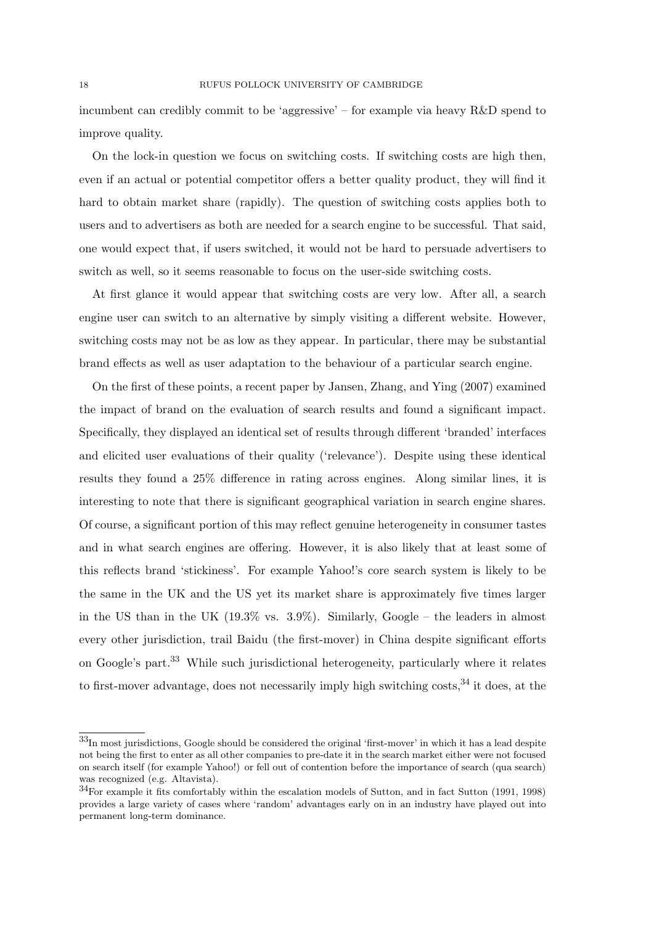incumbent can credibly commit to be 'aggressive' – for example via heavy R&D spend to improve quality.

On the lock-in question we focus on switching costs. If switching costs are high then, even if an actual or potential competitor offers a better quality product, they will find it hard to obtain market share (rapidly). The question of switching costs applies both to users and to advertisers as both are needed for a search engine to be successful. That said, one would expect that, if users switched, it would not be hard to persuade advertisers to switch as well, so it seems reasonable to focus on the user-side switching costs.

At first glance it would appear that switching costs are very low. After all, a search engine user can switch to an alternative by simply visiting a different website. However, switching costs may not be as low as they appear. In particular, there may be substantial brand effects as well as user adaptation to the behaviour of a particular search engine.

On the first of these points, a recent paper by Jansen, Zhang, and Ying (2007) examined the impact of brand on the evaluation of search results and found a significant impact. Specifically, they displayed an identical set of results through different 'branded' interfaces and elicited user evaluations of their quality ('relevance'). Despite using these identical results they found a 25% difference in rating across engines. Along similar lines, it is interesting to note that there is significant geographical variation in search engine shares. Of course, a significant portion of this may reflect genuine heterogeneity in consumer tastes and in what search engines are offering. However, it is also likely that at least some of this reflects brand 'stickiness'. For example Yahoo!'s core search system is likely to be the same in the UK and the US yet its market share is approximately five times larger in the US than in the UK (19.3% vs. 3.9%). Similarly, Google – the leaders in almost every other jurisdiction, trail Baidu (the first-mover) in China despite significant efforts on Google's part.<sup>33</sup> While such jurisdictional heterogeneity, particularly where it relates to first-mover advantage, does not necessarily imply high switching  $costs$ ,  $34$  it does, at the

<sup>33</sup>In most jurisdictions, Google should be considered the original 'first-mover' in which it has a lead despite not being the first to enter as all other companies to pre-date it in the search market either were not focused on search itself (for example Yahoo!) or fell out of contention before the importance of search (qua search) was recognized (e.g. Altavista).

<sup>34</sup>For example it fits comfortably within the escalation models of Sutton, and in fact Sutton (1991, 1998) provides a large variety of cases where 'random' advantages early on in an industry have played out into permanent long-term dominance.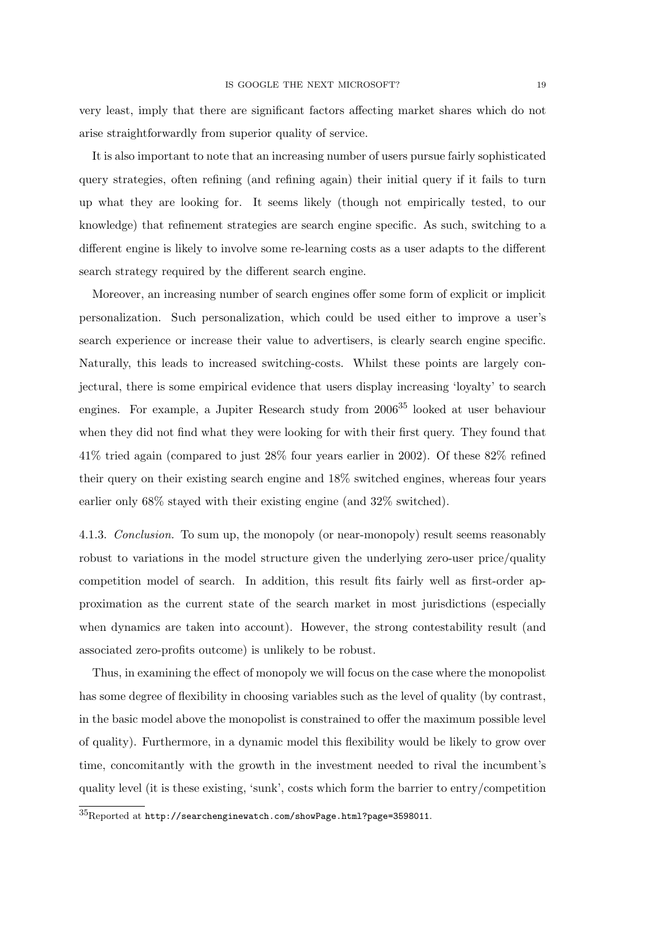very least, imply that there are significant factors affecting market shares which do not arise straightforwardly from superior quality of service.

It is also important to note that an increasing number of users pursue fairly sophisticated query strategies, often refining (and refining again) their initial query if it fails to turn up what they are looking for. It seems likely (though not empirically tested, to our knowledge) that refinement strategies are search engine specific. As such, switching to a different engine is likely to involve some re-learning costs as a user adapts to the different search strategy required by the different search engine.

Moreover, an increasing number of search engines offer some form of explicit or implicit personalization. Such personalization, which could be used either to improve a user's search experience or increase their value to advertisers, is clearly search engine specific. Naturally, this leads to increased switching-costs. Whilst these points are largely conjectural, there is some empirical evidence that users display increasing 'loyalty' to search engines. For example, a Jupiter Research study from 2006<sup>35</sup> looked at user behaviour when they did not find what they were looking for with their first query. They found that 41% tried again (compared to just 28% four years earlier in 2002). Of these 82% refined their query on their existing search engine and 18% switched engines, whereas four years earlier only  $68\%$  stayed with their existing engine (and  $32\%$  switched).

4.1.3. Conclusion. To sum up, the monopoly (or near-monopoly) result seems reasonably robust to variations in the model structure given the underlying zero-user price/quality competition model of search. In addition, this result fits fairly well as first-order approximation as the current state of the search market in most jurisdictions (especially when dynamics are taken into account). However, the strong contestability result (and associated zero-profits outcome) is unlikely to be robust.

Thus, in examining the effect of monopoly we will focus on the case where the monopolist has some degree of flexibility in choosing variables such as the level of quality (by contrast, in the basic model above the monopolist is constrained to offer the maximum possible level of quality). Furthermore, in a dynamic model this flexibility would be likely to grow over time, concomitantly with the growth in the investment needed to rival the incumbent's quality level (it is these existing, 'sunk', costs which form the barrier to entry/competition

 ${}^{35}$ Reported at http://searchenginewatch.com/showPage.html?page=3598011.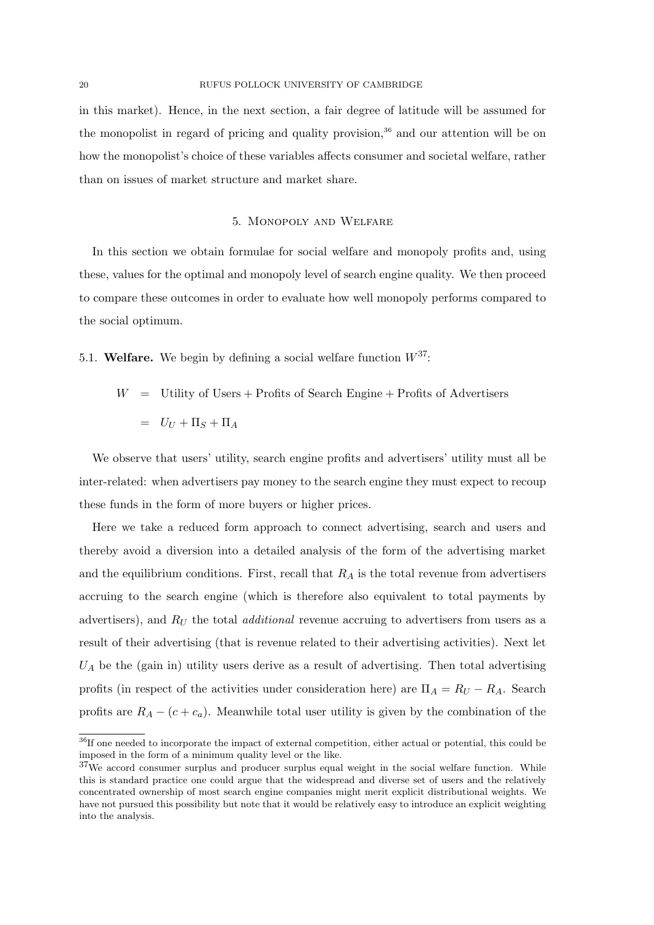in this market). Hence, in the next section, a fair degree of latitude will be assumed for the monopolist in regard of pricing and quality provision, $36$  and our attention will be on how the monopolist's choice of these variables affects consumer and societal welfare, rather than on issues of market structure and market share.

### 5. Monopoly and Welfare

In this section we obtain formulae for social welfare and monopoly profits and, using these, values for the optimal and monopoly level of search engine quality. We then proceed to compare these outcomes in order to evaluate how well monopoly performs compared to the social optimum.

5.1. Welfare. We begin by defining a social welfare function  $W^{37}$ :

 $W =$  Utility of Users + Profits of Search Engine + Profits of Advertisers  $= U_U + \Pi_S + \Pi_A$ 

We observe that users' utility, search engine profits and advertisers' utility must all be inter-related: when advertisers pay money to the search engine they must expect to recoup these funds in the form of more buyers or higher prices.

Here we take a reduced form approach to connect advertising, search and users and thereby avoid a diversion into a detailed analysis of the form of the advertising market and the equilibrium conditions. First, recall that  $R_A$  is the total revenue from advertisers accruing to the search engine (which is therefore also equivalent to total payments by advertisers), and  $R_U$  the total *additional* revenue accruing to advertisers from users as a result of their advertising (that is revenue related to their advertising activities). Next let  $U_A$  be the (gain in) utility users derive as a result of advertising. Then total advertising profits (in respect of the activities under consideration here) are  $\Pi_A = R_U - R_A$ . Search profits are  $R_A - (c + c_a)$ . Meanwhile total user utility is given by the combination of the

<sup>&</sup>lt;sup>36</sup>If one needed to incorporate the impact of external competition, either actual or potential, this could be imposed in the form of a minimum quality level or the like.

 $37W$ e accord consumer surplus and producer surplus equal weight in the social welfare function. While this is standard practice one could argue that the widespread and diverse set of users and the relatively concentrated ownership of most search engine companies might merit explicit distributional weights. We have not pursued this possibility but note that it would be relatively easy to introduce an explicit weighting into the analysis.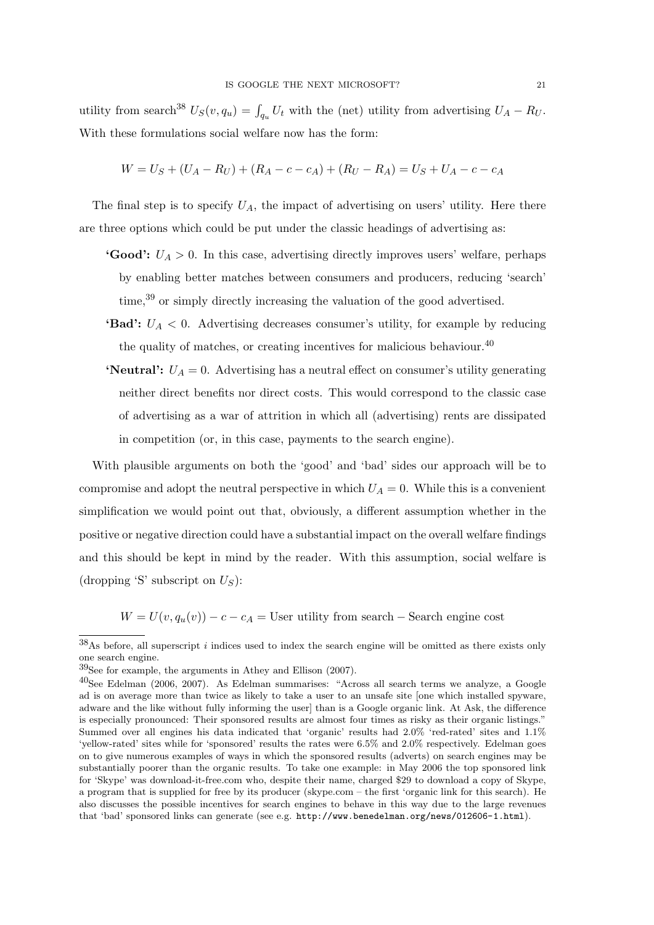utility from search<sup>38</sup>  $U_S(v, q_u) = \int_{q_u} U_t$  with the (net) utility from advertising  $U_A - R_U$ . With these formulations social welfare now has the form:

$$
W = US + (UA - RU) + (RA - c - cA) + (RU - RA) = US + UA - c - cA
$$

The final step is to specify  $U_A$ , the impact of advertising on users' utility. Here there are three options which could be put under the classic headings of advertising as:

- 'Good':  $U_A > 0$ . In this case, advertising directly improves users' welfare, perhaps by enabling better matches between consumers and producers, reducing 'search' time,<sup>39</sup> or simply directly increasing the valuation of the good advertised.
- 'Bad':  $U_A < 0$ . Advertising decreases consumer's utility, for example by reducing the quality of matches, or creating incentives for malicious behaviour.<sup>40</sup>
- 'Neutral':  $U_A = 0$ . Advertising has a neutral effect on consumer's utility generating neither direct benefits nor direct costs. This would correspond to the classic case of advertising as a war of attrition in which all (advertising) rents are dissipated in competition (or, in this case, payments to the search engine).

With plausible arguments on both the 'good' and 'bad' sides our approach will be to compromise and adopt the neutral perspective in which  $U_A = 0$ . While this is a convenient simplification we would point out that, obviously, a different assumption whether in the positive or negative direction could have a substantial impact on the overall welfare findings and this should be kept in mind by the reader. With this assumption, social welfare is (dropping 'S' subscript on  $U_S$ ):

 $W = U(v, q_u(v)) - c - c_A = \text{User utility from search} - \text{Search engine cost}$ 

 $38$ As before, all superscript i indices used to index the search engine will be omitted as there exists only one search engine.

 $39$ See for example, the arguments in Athey and Ellison (2007).

<sup>&</sup>lt;sup>40</sup>See Edelman (2006, 2007). As Edelman summarises: "Across all search terms we analyze, a Google ad is on average more than twice as likely to take a user to an unsafe site [one which installed spyware, adware and the like without fully informing the user] than is a Google organic link. At Ask, the difference is especially pronounced: Their sponsored results are almost four times as risky as their organic listings." Summed over all engines his data indicated that 'organic' results had 2.0% 'red-rated' sites and 1.1% 'yellow-rated' sites while for 'sponsored' results the rates were 6.5% and 2.0% respectively. Edelman goes on to give numerous examples of ways in which the sponsored results (adverts) on search engines may be substantially poorer than the organic results. To take one example: in May 2006 the top sponsored link for 'Skype' was download-it-free.com who, despite their name, charged \$29 to download a copy of Skype, a program that is supplied for free by its producer (skype.com – the first 'organic link for this search). He also discusses the possible incentives for search engines to behave in this way due to the large revenues that 'bad' sponsored links can generate (see e.g. http://www.benedelman.org/news/012606-1.html).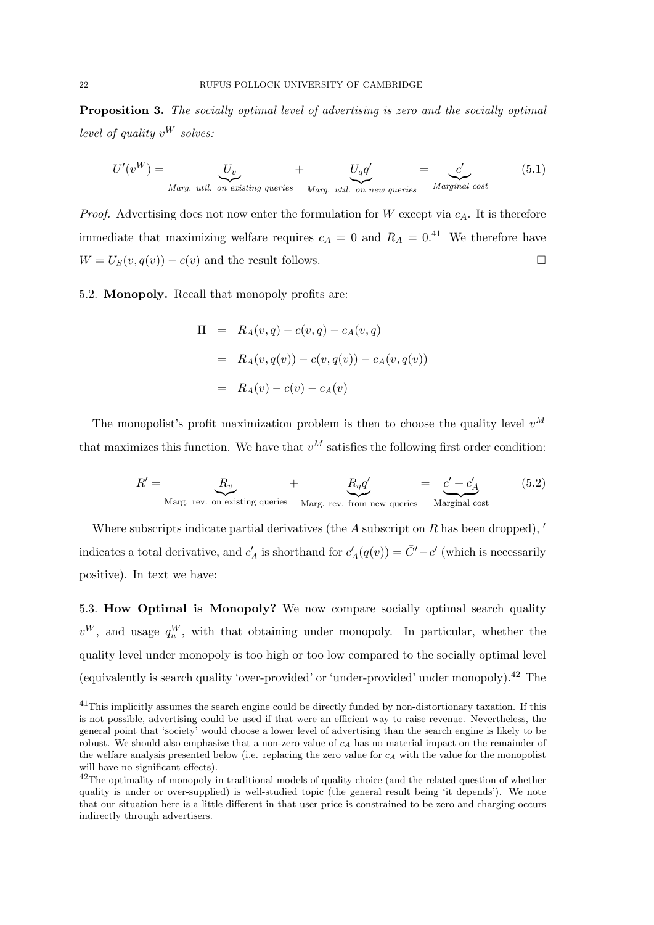Proposition 3. The socially optimal level of advertising is zero and the socially optimal level of quality  $v^W$  solves:

$$
U'(v^W) = \underbrace{U_v}_{\text{Mary. util. on existing queries}} + \underbrace{U_q q'}_{\text{Mary. util. on new queries}} = \underbrace{c'}_{\text{Marginal cost}}
$$
(5.1)

*Proof.* Advertising does not now enter the formulation for W except via  $c_A$ . It is therefore immediate that maximizing welfare requires  $c_A = 0$  and  $R_A = 0$ .<sup>41</sup> We therefore have  $W = U<sub>S</sub>(v, q(v)) - c(v)$  and the result follows.

5.2. Monopoly. Recall that monopoly profits are:

$$
\Pi = R_A(v, q) - c(v, q) - c_A(v, q)
$$
  
=  $R_A(v, q(v)) - c(v, q(v)) - c_A(v, q(v))$   
=  $R_A(v) - c(v) - c_A(v)$ 

The monopolist's profit maximization problem is then to choose the quality level  $v^M$ that maximizes this function. We have that  $v^M$  satisfies the following first order condition:

$$
R' = \underbrace{R_v}_{\text{Marg. rev. on existing queries}} + \underbrace{R_q q'}_{\text{Marg. rev. from new queries}} = \underbrace{c' + c'_A}_{\text{Marginal cost}} \tag{5.2}
$$

Where subscripts indicate partial derivatives (the  $A$  subscript on  $R$  has been dropped),  $\prime$ indicates a total derivative, and  $c'_{A}$  is shorthand for  $c'_{A}(q(v)) = \overline{C} - c'$  (which is necessarily positive). In text we have:

5.3. How Optimal is Monopoly? We now compare socially optimal search quality  $v^W$ , and usage  $q_u^W$ , with that obtaining under monopoly. In particular, whether the quality level under monopoly is too high or too low compared to the socially optimal level (equivalently is search quality 'over-provided' or 'under-provided' under monopoly).<sup>42</sup> The

<sup>41</sup>This implicitly assumes the search engine could be directly funded by non-distortionary taxation. If this is not possible, advertising could be used if that were an efficient way to raise revenue. Nevertheless, the general point that 'society' would choose a lower level of advertising than the search engine is likely to be robust. We should also emphasize that a non-zero value of  $c_A$  has no material impact on the remainder of the welfare analysis presented below (i.e. replacing the zero value for  $c_A$  with the value for the monopolist will have no significant effects).

<sup>&</sup>lt;sup>42</sup>The optimality of monopoly in traditional models of quality choice (and the related question of whether quality is under or over-supplied) is well-studied topic (the general result being 'it depends'). We note that our situation here is a little different in that user price is constrained to be zero and charging occurs indirectly through advertisers.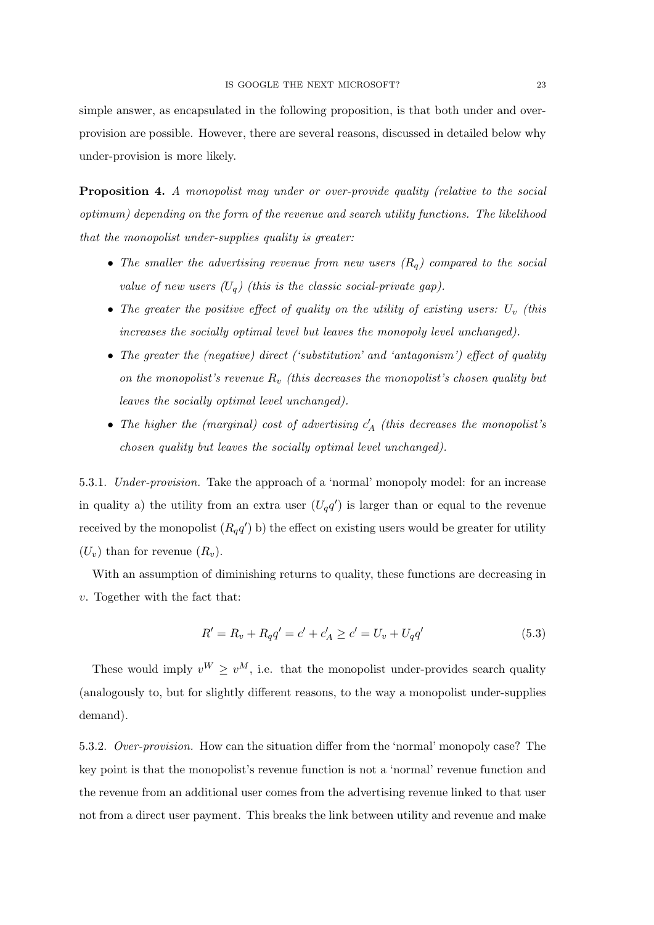simple answer, as encapsulated in the following proposition, is that both under and overprovision are possible. However, there are several reasons, discussed in detailed below why under-provision is more likely.

Proposition 4. A monopolist may under or over-provide quality (relative to the social optimum) depending on the form of the revenue and search utility functions. The likelihood that the monopolist under-supplies quality is greater:

- The smaller the advertising revenue from new users  $(R_q)$  compared to the social value of new users  $(U_q)$  (this is the classic social-private gap).
- The greater the positive effect of quality on the utility of existing users:  $U_v$  (this increases the socially optimal level but leaves the monopoly level unchanged).
- The greater the (negative) direct ('substitution' and 'antagonism') effect of quality on the monopolist's revenue  $R_v$  (this decreases the monopolist's chosen quality but leaves the socially optimal level unchanged).
- The higher the (marginal) cost of advertising  $c'_{A}$  (this decreases the monopolist's chosen quality but leaves the socially optimal level unchanged).

5.3.1. Under-provision. Take the approach of a 'normal' monopoly model: for an increase in quality a) the utility from an extra user  $(U_q q')$  is larger than or equal to the revenue received by the monopolist  $(R_q q')$  b) the effect on existing users would be greater for utility  $(U_v)$  than for revenue  $(R_v)$ .

With an assumption of diminishing returns to quality, these functions are decreasing in v. Together with the fact that:

$$
R' = R_v + R_q q' = c' + c'_A \ge c' = U_v + U_q q'
$$
\n(5.3)

These would imply  $v^W \ge v^M$ , i.e. that the monopolist under-provides search quality (analogously to, but for slightly different reasons, to the way a monopolist under-supplies demand).

5.3.2. Over-provision. How can the situation differ from the 'normal' monopoly case? The key point is that the monopolist's revenue function is not a 'normal' revenue function and the revenue from an additional user comes from the advertising revenue linked to that user not from a direct user payment. This breaks the link between utility and revenue and make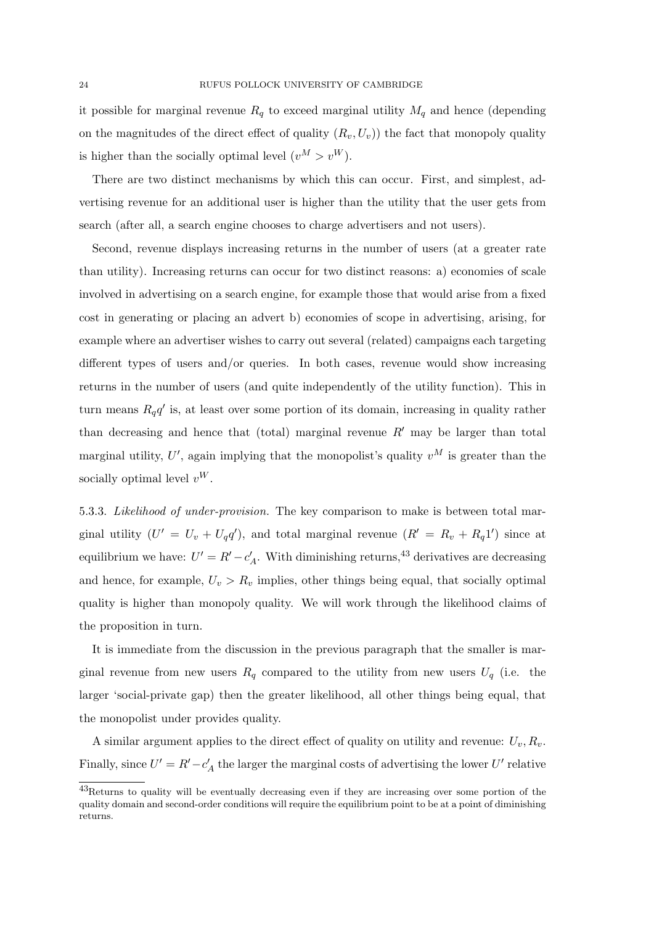it possible for marginal revenue  $R_q$  to exceed marginal utility  $M_q$  and hence (depending on the magnitudes of the direct effect of quality  $(R_v, U_v)$  the fact that monopoly quality is higher than the socially optimal level  $(v^M > v^W)$ .

There are two distinct mechanisms by which this can occur. First, and simplest, advertising revenue for an additional user is higher than the utility that the user gets from search (after all, a search engine chooses to charge advertisers and not users).

Second, revenue displays increasing returns in the number of users (at a greater rate than utility). Increasing returns can occur for two distinct reasons: a) economies of scale involved in advertising on a search engine, for example those that would arise from a fixed cost in generating or placing an advert b) economies of scope in advertising, arising, for example where an advertiser wishes to carry out several (related) campaigns each targeting different types of users and/or queries. In both cases, revenue would show increasing returns in the number of users (and quite independently of the utility function). This in turn means  $R_q q'$  is, at least over some portion of its domain, increasing in quality rather than decreasing and hence that (total) marginal revenue  $R'$  may be larger than total marginal utility, U', again implying that the monopolist's quality  $v^M$  is greater than the socially optimal level  $v^W$ .

5.3.3. Likelihood of under-provision. The key comparison to make is between total marginal utility  $(U' = U_v + U_q q')$ , and total marginal revenue  $(R' = R_v + R_q 1')$  since at equilibrium we have:  $U' = R' - c'_{A}$ . With diminishing returns,<sup>43</sup> derivatives are decreasing and hence, for example,  $U_v > R_v$  implies, other things being equal, that socially optimal quality is higher than monopoly quality. We will work through the likelihood claims of the proposition in turn.

It is immediate from the discussion in the previous paragraph that the smaller is marginal revenue from new users  $R_q$  compared to the utility from new users  $U_q$  (i.e. the larger 'social-private gap) then the greater likelihood, all other things being equal, that the monopolist under provides quality.

A similar argument applies to the direct effect of quality on utility and revenue:  $U_v, R_v$ . Finally, since  $U' = R' - c'_{A}$  the larger the marginal costs of advertising the lower U' relative

<sup>43</sup>Returns to quality will be eventually decreasing even if they are increasing over some portion of the quality domain and second-order conditions will require the equilibrium point to be at a point of diminishing returns.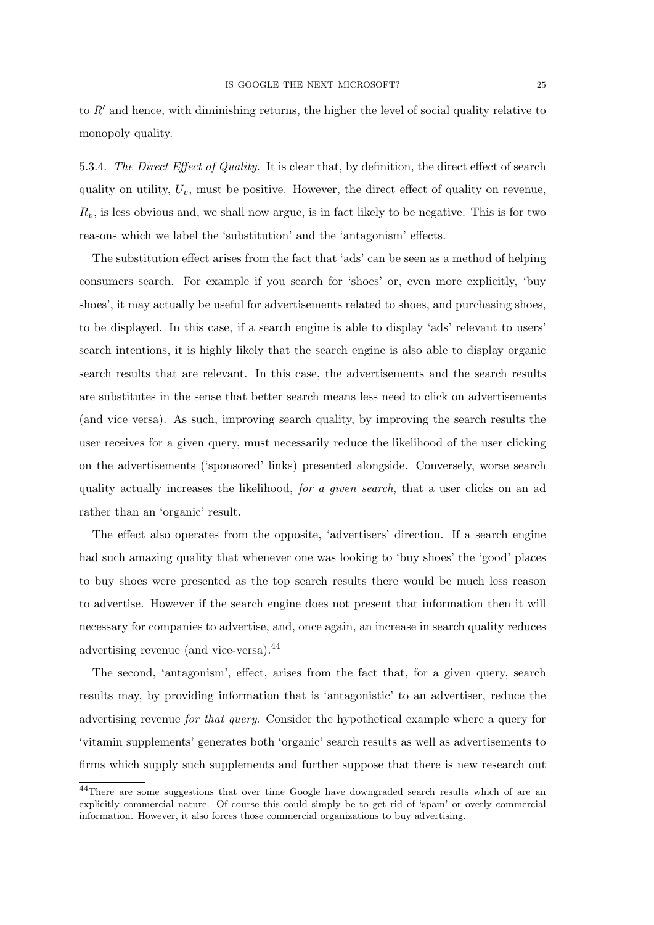to  $R'$  and hence, with diminishing returns, the higher the level of social quality relative to monopoly quality.

5.3.4. The Direct Effect of Quality. It is clear that, by definition, the direct effect of search quality on utility,  $U_v$ , must be positive. However, the direct effect of quality on revenue,  $R_v$ , is less obvious and, we shall now argue, is in fact likely to be negative. This is for two reasons which we label the 'substitution' and the 'antagonism' effects.

The substitution effect arises from the fact that 'ads' can be seen as a method of helping consumers search. For example if you search for 'shoes' or, even more explicitly, 'buy shoes', it may actually be useful for advertisements related to shoes, and purchasing shoes, to be displayed. In this case, if a search engine is able to display 'ads' relevant to users' search intentions, it is highly likely that the search engine is also able to display organic search results that are relevant. In this case, the advertisements and the search results are substitutes in the sense that better search means less need to click on advertisements (and vice versa). As such, improving search quality, by improving the search results the user receives for a given query, must necessarily reduce the likelihood of the user clicking on the advertisements ('sponsored' links) presented alongside. Conversely, worse search quality actually increases the likelihood, for a given search, that a user clicks on an ad rather than an 'organic' result.

The effect also operates from the opposite, 'advertisers' direction. If a search engine had such amazing quality that whenever one was looking to 'buy shoes' the 'good' places to buy shoes were presented as the top search results there would be much less reason to advertise. However if the search engine does not present that information then it will necessary for companies to advertise, and, once again, an increase in search quality reduces advertising revenue (and vice-versa).<sup>44</sup>

The second, 'antagonism', effect, arises from the fact that, for a given query, search results may, by providing information that is 'antagonistic' to an advertiser, reduce the advertising revenue for that query. Consider the hypothetical example where a query for 'vitamin supplements' generates both 'organic' search results as well as advertisements to firms which supply such supplements and further suppose that there is new research out

<sup>44</sup>There are some suggestions that over time Google have downgraded search results which of are an explicitly commercial nature. Of course this could simply be to get rid of 'spam' or overly commercial information. However, it also forces those commercial organizations to buy advertising.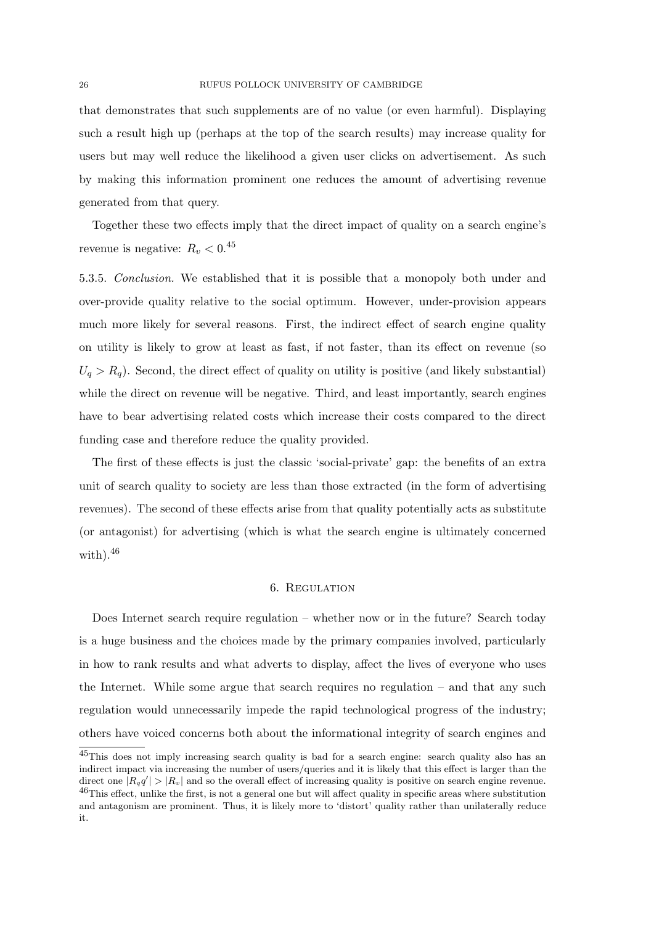that demonstrates that such supplements are of no value (or even harmful). Displaying such a result high up (perhaps at the top of the search results) may increase quality for users but may well reduce the likelihood a given user clicks on advertisement. As such by making this information prominent one reduces the amount of advertising revenue generated from that query.

Together these two effects imply that the direct impact of quality on a search engine's revenue is negative:  $R_v < 0.^{45}$ 

5.3.5. Conclusion. We established that it is possible that a monopoly both under and over-provide quality relative to the social optimum. However, under-provision appears much more likely for several reasons. First, the indirect effect of search engine quality on utility is likely to grow at least as fast, if not faster, than its effect on revenue (so  $U_q > R_q$ ). Second, the direct effect of quality on utility is positive (and likely substantial) while the direct on revenue will be negative. Third, and least importantly, search engines have to bear advertising related costs which increase their costs compared to the direct funding case and therefore reduce the quality provided.

The first of these effects is just the classic 'social-private' gap: the benefits of an extra unit of search quality to society are less than those extracted (in the form of advertising revenues). The second of these effects arise from that quality potentially acts as substitute (or antagonist) for advertising (which is what the search engine is ultimately concerned with). $46$ 

### 6. Regulation

Does Internet search require regulation – whether now or in the future? Search today is a huge business and the choices made by the primary companies involved, particularly in how to rank results and what adverts to display, affect the lives of everyone who uses the Internet. While some argue that search requires no regulation – and that any such regulation would unnecessarily impede the rapid technological progress of the industry; others have voiced concerns both about the informational integrity of search engines and

<sup>45</sup>This does not imply increasing search quality is bad for a search engine: search quality also has an indirect impact via increasing the number of users/queries and it is likely that this effect is larger than the direct one  $|R_q q'| > |R_v|$  and so the overall effect of increasing quality is positive on search engine revenue.  $^{46}$ This effect, unlike the first, is not a general one but will affect quality in specific areas where substitution and antagonism are prominent. Thus, it is likely more to 'distort' quality rather than unilaterally reduce it.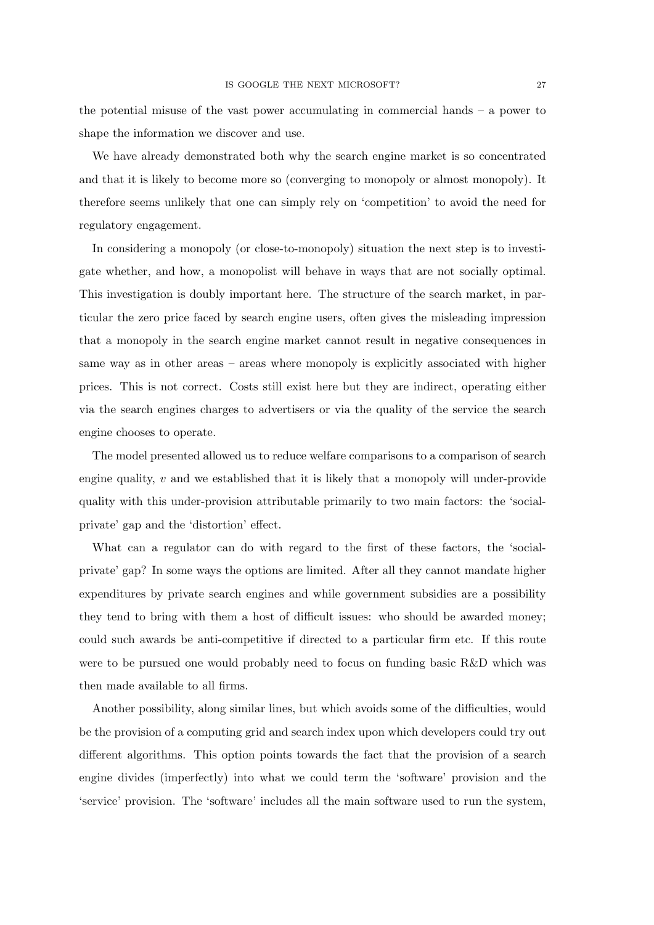the potential misuse of the vast power accumulating in commercial hands – a power to shape the information we discover and use.

We have already demonstrated both why the search engine market is so concentrated and that it is likely to become more so (converging to monopoly or almost monopoly). It therefore seems unlikely that one can simply rely on 'competition' to avoid the need for regulatory engagement.

In considering a monopoly (or close-to-monopoly) situation the next step is to investigate whether, and how, a monopolist will behave in ways that are not socially optimal. This investigation is doubly important here. The structure of the search market, in particular the zero price faced by search engine users, often gives the misleading impression that a monopoly in the search engine market cannot result in negative consequences in same way as in other areas – areas where monopoly is explicitly associated with higher prices. This is not correct. Costs still exist here but they are indirect, operating either via the search engines charges to advertisers or via the quality of the service the search engine chooses to operate.

The model presented allowed us to reduce welfare comparisons to a comparison of search engine quality,  $v$  and we established that it is likely that a monopoly will under-provide quality with this under-provision attributable primarily to two main factors: the 'socialprivate' gap and the 'distortion' effect.

What can a regulator can do with regard to the first of these factors, the 'socialprivate' gap? In some ways the options are limited. After all they cannot mandate higher expenditures by private search engines and while government subsidies are a possibility they tend to bring with them a host of difficult issues: who should be awarded money; could such awards be anti-competitive if directed to a particular firm etc. If this route were to be pursued one would probably need to focus on funding basic R&D which was then made available to all firms.

Another possibility, along similar lines, but which avoids some of the difficulties, would be the provision of a computing grid and search index upon which developers could try out different algorithms. This option points towards the fact that the provision of a search engine divides (imperfectly) into what we could term the 'software' provision and the 'service' provision. The 'software' includes all the main software used to run the system,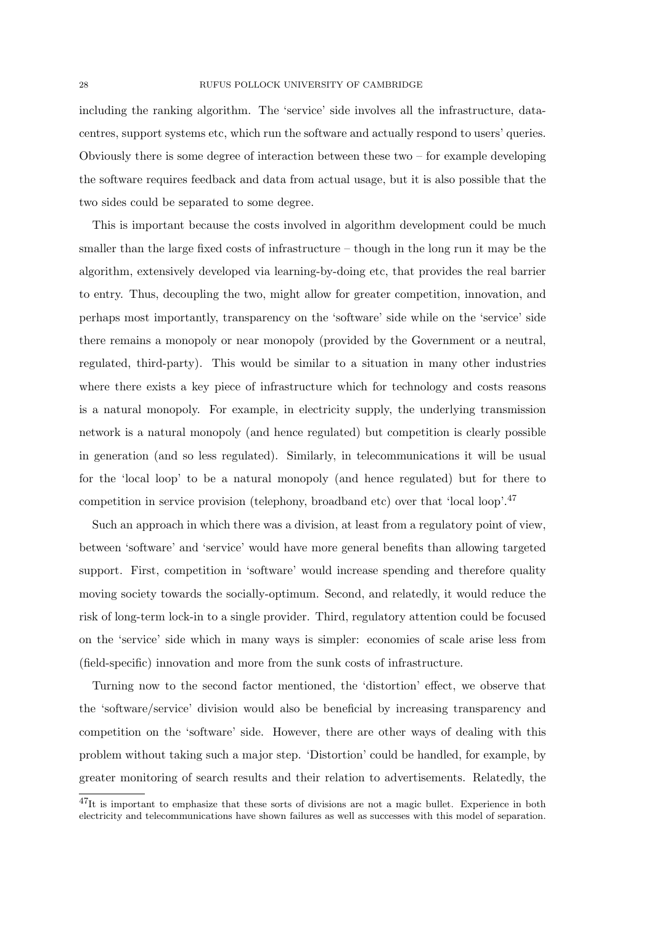including the ranking algorithm. The 'service' side involves all the infrastructure, datacentres, support systems etc, which run the software and actually respond to users' queries. Obviously there is some degree of interaction between these two – for example developing the software requires feedback and data from actual usage, but it is also possible that the two sides could be separated to some degree.

This is important because the costs involved in algorithm development could be much smaller than the large fixed costs of infrastructure – though in the long run it may be the algorithm, extensively developed via learning-by-doing etc, that provides the real barrier to entry. Thus, decoupling the two, might allow for greater competition, innovation, and perhaps most importantly, transparency on the 'software' side while on the 'service' side there remains a monopoly or near monopoly (provided by the Government or a neutral, regulated, third-party). This would be similar to a situation in many other industries where there exists a key piece of infrastructure which for technology and costs reasons is a natural monopoly. For example, in electricity supply, the underlying transmission network is a natural monopoly (and hence regulated) but competition is clearly possible in generation (and so less regulated). Similarly, in telecommunications it will be usual for the 'local loop' to be a natural monopoly (and hence regulated) but for there to competition in service provision (telephony, broadband etc) over that 'local loop'.<sup>47</sup>

Such an approach in which there was a division, at least from a regulatory point of view, between 'software' and 'service' would have more general benefits than allowing targeted support. First, competition in 'software' would increase spending and therefore quality moving society towards the socially-optimum. Second, and relatedly, it would reduce the risk of long-term lock-in to a single provider. Third, regulatory attention could be focused on the 'service' side which in many ways is simpler: economies of scale arise less from (field-specific) innovation and more from the sunk costs of infrastructure.

Turning now to the second factor mentioned, the 'distortion' effect, we observe that the 'software/service' division would also be beneficial by increasing transparency and competition on the 'software' side. However, there are other ways of dealing with this problem without taking such a major step. 'Distortion' could be handled, for example, by greater monitoring of search results and their relation to advertisements. Relatedly, the

 $^{47}$ It is important to emphasize that these sorts of divisions are not a magic bullet. Experience in both electricity and telecommunications have shown failures as well as successes with this model of separation.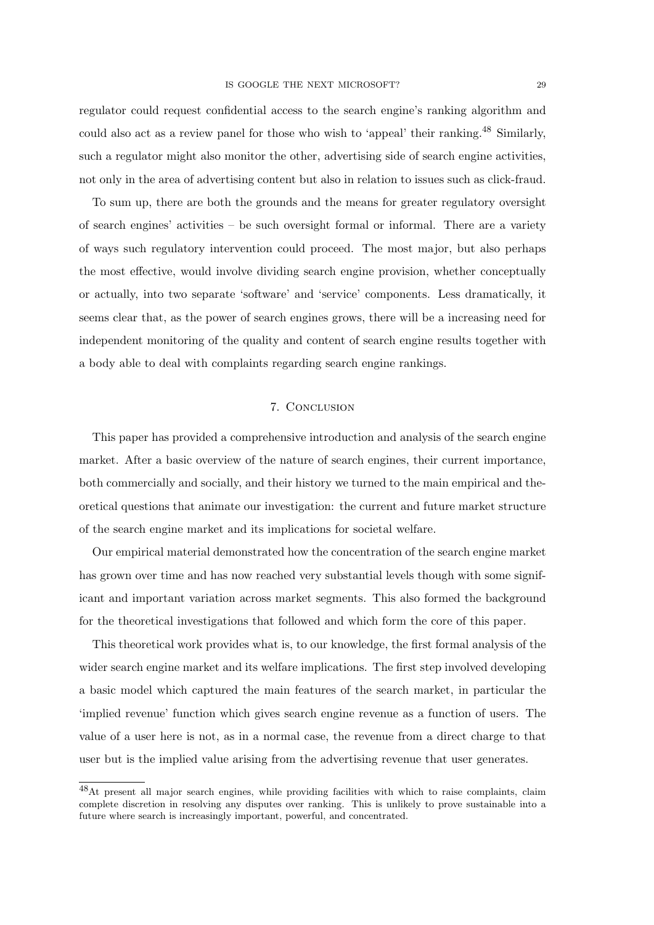regulator could request confidential access to the search engine's ranking algorithm and could also act as a review panel for those who wish to 'appeal' their ranking.<sup>48</sup> Similarly, such a regulator might also monitor the other, advertising side of search engine activities, not only in the area of advertising content but also in relation to issues such as click-fraud.

To sum up, there are both the grounds and the means for greater regulatory oversight of search engines' activities – be such oversight formal or informal. There are a variety of ways such regulatory intervention could proceed. The most major, but also perhaps the most effective, would involve dividing search engine provision, whether conceptually or actually, into two separate 'software' and 'service' components. Less dramatically, it seems clear that, as the power of search engines grows, there will be a increasing need for independent monitoring of the quality and content of search engine results together with a body able to deal with complaints regarding search engine rankings.

## 7. Conclusion

This paper has provided a comprehensive introduction and analysis of the search engine market. After a basic overview of the nature of search engines, their current importance, both commercially and socially, and their history we turned to the main empirical and theoretical questions that animate our investigation: the current and future market structure of the search engine market and its implications for societal welfare.

Our empirical material demonstrated how the concentration of the search engine market has grown over time and has now reached very substantial levels though with some significant and important variation across market segments. This also formed the background for the theoretical investigations that followed and which form the core of this paper.

This theoretical work provides what is, to our knowledge, the first formal analysis of the wider search engine market and its welfare implications. The first step involved developing a basic model which captured the main features of the search market, in particular the 'implied revenue' function which gives search engine revenue as a function of users. The value of a user here is not, as in a normal case, the revenue from a direct charge to that user but is the implied value arising from the advertising revenue that user generates.

<sup>48</sup>At present all major search engines, while providing facilities with which to raise complaints, claim complete discretion in resolving any disputes over ranking. This is unlikely to prove sustainable into a future where search is increasingly important, powerful, and concentrated.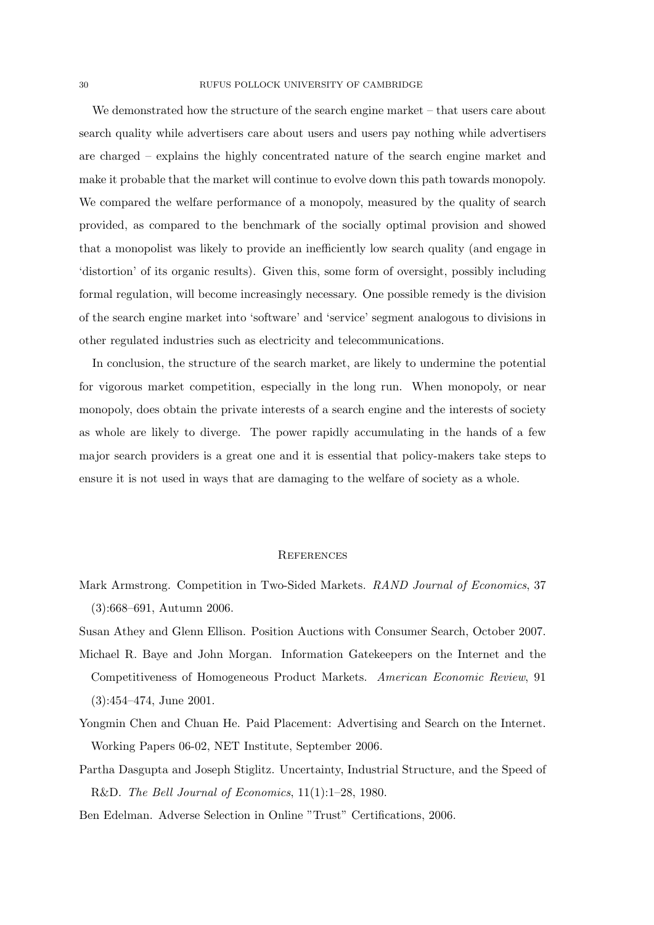We demonstrated how the structure of the search engine market – that users care about search quality while advertisers care about users and users pay nothing while advertisers are charged – explains the highly concentrated nature of the search engine market and make it probable that the market will continue to evolve down this path towards monopoly. We compared the welfare performance of a monopoly, measured by the quality of search provided, as compared to the benchmark of the socially optimal provision and showed that a monopolist was likely to provide an inefficiently low search quality (and engage in 'distortion' of its organic results). Given this, some form of oversight, possibly including formal regulation, will become increasingly necessary. One possible remedy is the division of the search engine market into 'software' and 'service' segment analogous to divisions in other regulated industries such as electricity and telecommunications.

In conclusion, the structure of the search market, are likely to undermine the potential for vigorous market competition, especially in the long run. When monopoly, or near monopoly, does obtain the private interests of a search engine and the interests of society as whole are likely to diverge. The power rapidly accumulating in the hands of a few major search providers is a great one and it is essential that policy-makers take steps to ensure it is not used in ways that are damaging to the welfare of society as a whole.

### **REFERENCES**

Mark Armstrong. Competition in Two-Sided Markets. RAND Journal of Economics, 37 (3):668–691, Autumn 2006.

Susan Athey and Glenn Ellison. Position Auctions with Consumer Search, October 2007.

- Michael R. Baye and John Morgan. Information Gatekeepers on the Internet and the Competitiveness of Homogeneous Product Markets. American Economic Review, 91 (3):454–474, June 2001.
- Yongmin Chen and Chuan He. Paid Placement: Advertising and Search on the Internet. Working Papers 06-02, NET Institute, September 2006.
- Partha Dasgupta and Joseph Stiglitz. Uncertainty, Industrial Structure, and the Speed of R&D. The Bell Journal of Economics, 11(1):1–28, 1980.
- Ben Edelman. Adverse Selection in Online "Trust" Certifications, 2006.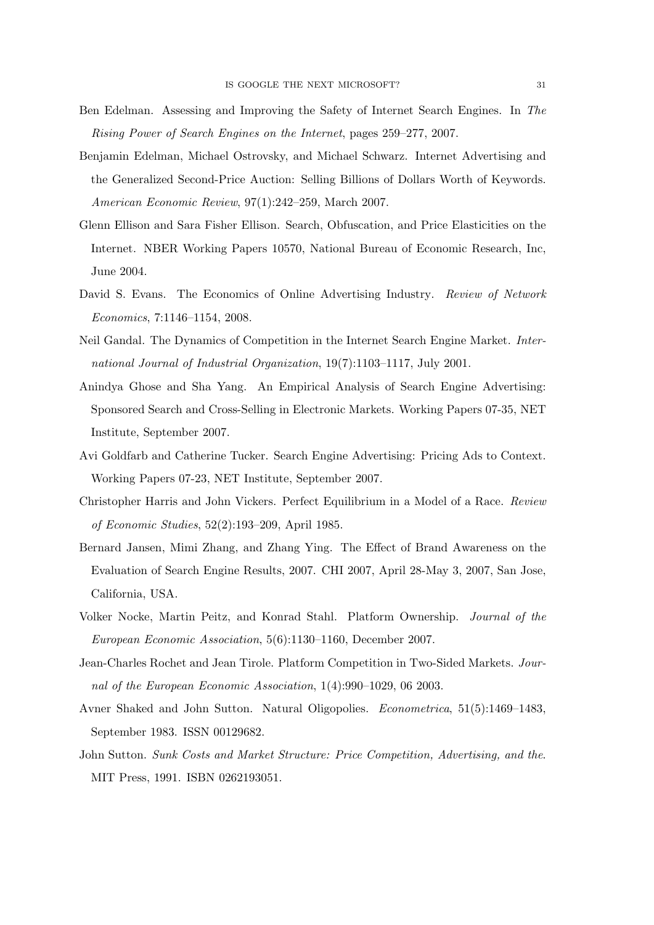- Ben Edelman. Assessing and Improving the Safety of Internet Search Engines. In The Rising Power of Search Engines on the Internet, pages 259–277, 2007.
- Benjamin Edelman, Michael Ostrovsky, and Michael Schwarz. Internet Advertising and the Generalized Second-Price Auction: Selling Billions of Dollars Worth of Keywords. American Economic Review, 97(1):242–259, March 2007.
- Glenn Ellison and Sara Fisher Ellison. Search, Obfuscation, and Price Elasticities on the Internet. NBER Working Papers 10570, National Bureau of Economic Research, Inc, June 2004.
- David S. Evans. The Economics of Online Advertising Industry. Review of Network Economics, 7:1146–1154, 2008.
- Neil Gandal. The Dynamics of Competition in the Internet Search Engine Market. International Journal of Industrial Organization, 19(7):1103–1117, July 2001.
- Anindya Ghose and Sha Yang. An Empirical Analysis of Search Engine Advertising: Sponsored Search and Cross-Selling in Electronic Markets. Working Papers 07-35, NET Institute, September 2007.
- Avi Goldfarb and Catherine Tucker. Search Engine Advertising: Pricing Ads to Context. Working Papers 07-23, NET Institute, September 2007.
- Christopher Harris and John Vickers. Perfect Equilibrium in a Model of a Race. Review of Economic Studies, 52(2):193–209, April 1985.
- Bernard Jansen, Mimi Zhang, and Zhang Ying. The Effect of Brand Awareness on the Evaluation of Search Engine Results, 2007. CHI 2007, April 28-May 3, 2007, San Jose, California, USA.
- Volker Nocke, Martin Peitz, and Konrad Stahl. Platform Ownership. Journal of the European Economic Association, 5(6):1130–1160, December 2007.
- Jean-Charles Rochet and Jean Tirole. Platform Competition in Two-Sided Markets. Journal of the European Economic Association, 1(4):990–1029, 06 2003.
- Avner Shaked and John Sutton. Natural Oligopolies. Econometrica, 51(5):1469–1483, September 1983. ISSN 00129682.
- John Sutton. Sunk Costs and Market Structure: Price Competition, Advertising, and the. MIT Press, 1991. ISBN 0262193051.